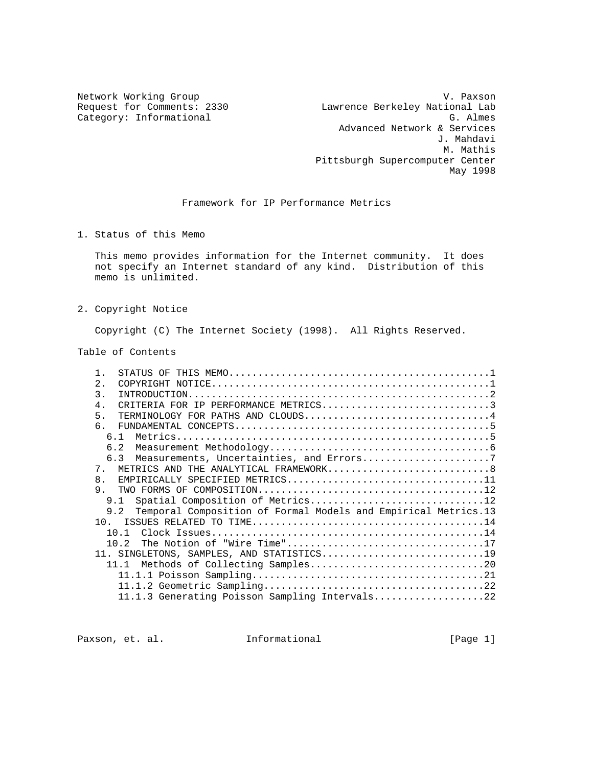Network Working Group V. Paxson V. Paxson V. Paxson V. Paxson V. V. Paxson Request for Comments: 2330 Lawrence Berkeley National Lab Category: Informational G. Almes Advanced Network & Services J. Mahdavi M. Mathis Pittsburgh Supercomputer Center May 1998

# Framework for IP Performance Metrics

1. Status of this Memo

 This memo provides information for the Internet community. It does not specify an Internet standard of any kind. Distribution of this memo is unlimited.

2. Copyright Notice

Copyright (C) The Internet Society (1998). All Rights Reserved.

Table of Contents

| $\mathbf{1}$     |                                                                       |  |
|------------------|-----------------------------------------------------------------------|--|
| $\overline{2}$ . |                                                                       |  |
| $\mathcal{E}$    |                                                                       |  |
| $4 \cdot$        | CRITERIA FOR IP PERFORMANCE METRICS3                                  |  |
| 5.               | TERMINOLOGY FOR PATHS AND CLOUDS4                                     |  |
| რ.               |                                                                       |  |
|                  | 6 1                                                                   |  |
|                  | 6.2                                                                   |  |
|                  | 6.3 Measurements, Uncertainties, and Errors7                          |  |
| 7.               | METRICS AND THE ANALYTICAL FRAMEWORK8                                 |  |
| 8 <sub>1</sub>   | EMPIRICALLY SPECIFIED METRICS11                                       |  |
| 9.               |                                                                       |  |
|                  | Spatial Composition of Metrics12<br>9 1                               |  |
|                  | 9.2<br>Temporal Composition of Formal Models and Empirical Metrics.13 |  |
|                  |                                                                       |  |
|                  |                                                                       |  |
|                  | 10 <sub>2</sub>                                                       |  |
|                  | 11. SINGLETONS, SAMPLES, AND STATISTICS19                             |  |
|                  | 1111                                                                  |  |
|                  |                                                                       |  |
|                  |                                                                       |  |
|                  | 11.1.3 Generating Poisson Sampling Intervals22                        |  |

Paxson, et. al. 10. Informational 1. [Page 1]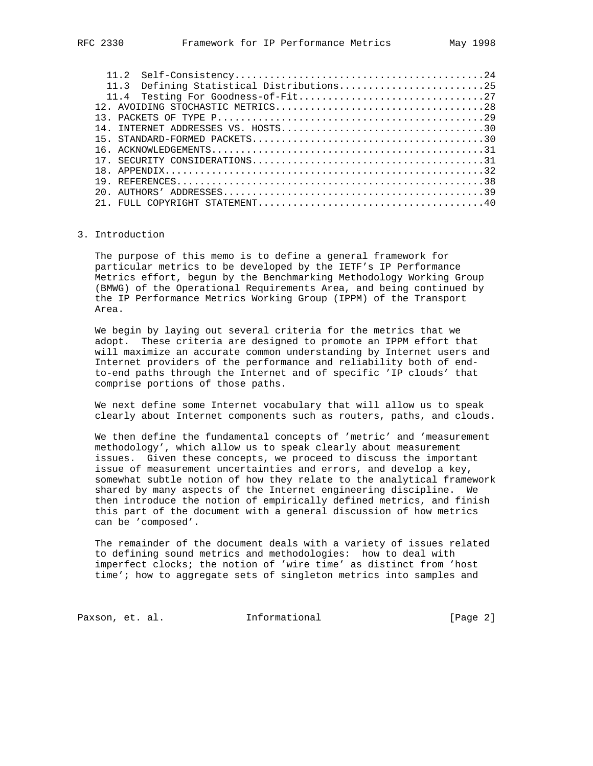|    | Defining Statistical Distributions25<br>11 <sup>3</sup> |
|----|---------------------------------------------------------|
|    |                                                         |
|    |                                                         |
|    |                                                         |
| 14 |                                                         |
| 15 |                                                         |
|    |                                                         |
|    |                                                         |
|    |                                                         |
|    |                                                         |
|    |                                                         |
|    |                                                         |

### 3. Introduction

 The purpose of this memo is to define a general framework for particular metrics to be developed by the IETF's IP Performance Metrics effort, begun by the Benchmarking Methodology Working Group (BMWG) of the Operational Requirements Area, and being continued by the IP Performance Metrics Working Group (IPPM) of the Transport Area.

 We begin by laying out several criteria for the metrics that we adopt. These criteria are designed to promote an IPPM effort that will maximize an accurate common understanding by Internet users and Internet providers of the performance and reliability both of end to-end paths through the Internet and of specific 'IP clouds' that comprise portions of those paths.

 We next define some Internet vocabulary that will allow us to speak clearly about Internet components such as routers, paths, and clouds.

 We then define the fundamental concepts of 'metric' and 'measurement methodology', which allow us to speak clearly about measurement issues. Given these concepts, we proceed to discuss the important issue of measurement uncertainties and errors, and develop a key, somewhat subtle notion of how they relate to the analytical framework shared by many aspects of the Internet engineering discipline. We then introduce the notion of empirically defined metrics, and finish this part of the document with a general discussion of how metrics can be 'composed'.

 The remainder of the document deals with a variety of issues related to defining sound metrics and methodologies: how to deal with imperfect clocks; the notion of 'wire time' as distinct from 'host time'; how to aggregate sets of singleton metrics into samples and

Paxson, et. al. 1nformational 1999 [Page 2]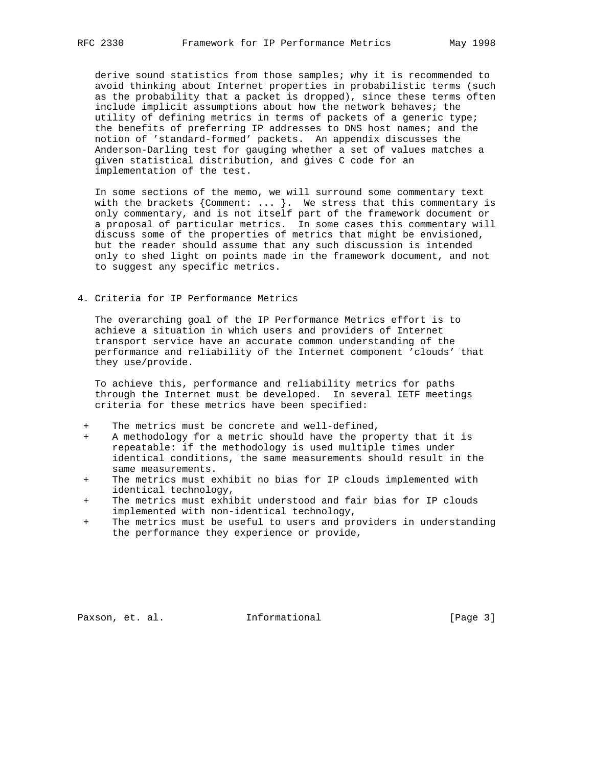derive sound statistics from those samples; why it is recommended to avoid thinking about Internet properties in probabilistic terms (such as the probability that a packet is dropped), since these terms often include implicit assumptions about how the network behaves; the utility of defining metrics in terms of packets of a generic type; the benefits of preferring IP addresses to DNS host names; and the notion of 'standard-formed' packets. An appendix discusses the Anderson-Darling test for gauging whether a set of values matches a given statistical distribution, and gives C code for an implementation of the test.

 In some sections of the memo, we will surround some commentary text with the brackets  ${Comment: ... }$ . We stress that this commentary is only commentary, and is not itself part of the framework document or a proposal of particular metrics. In some cases this commentary will discuss some of the properties of metrics that might be envisioned, but the reader should assume that any such discussion is intended only to shed light on points made in the framework document, and not to suggest any specific metrics.

# 4. Criteria for IP Performance Metrics

 The overarching goal of the IP Performance Metrics effort is to achieve a situation in which users and providers of Internet transport service have an accurate common understanding of the performance and reliability of the Internet component 'clouds' that they use/provide.

 To achieve this, performance and reliability metrics for paths through the Internet must be developed. In several IETF meetings criteria for these metrics have been specified:

- The metrics must be concrete and well-defined,
- A methodology for a metric should have the property that it is repeatable: if the methodology is used multiple times under identical conditions, the same measurements should result in the same measurements.
- The metrics must exhibit no bias for IP clouds implemented with identical technology,
- + The metrics must exhibit understood and fair bias for IP clouds implemented with non-identical technology,
- + The metrics must be useful to users and providers in understanding the performance they experience or provide,

Paxson, et. al. **Informational** [Page 3]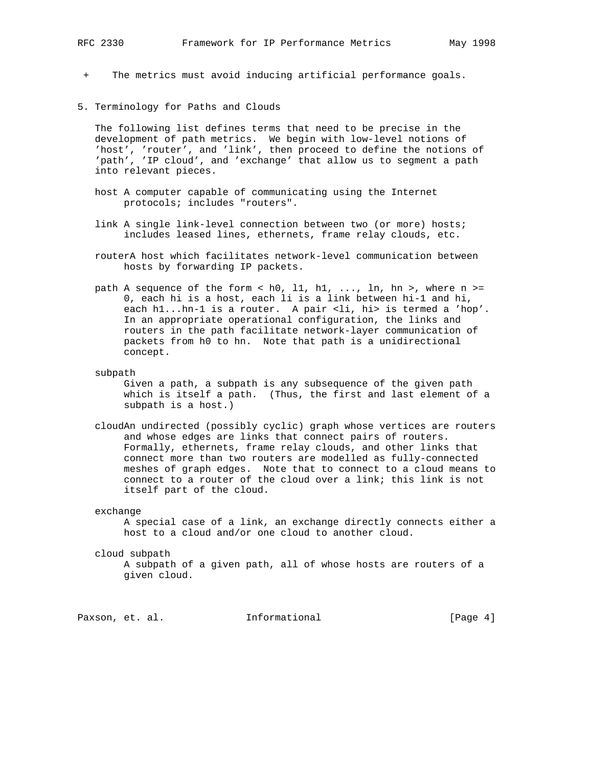+ The metrics must avoid inducing artificial performance goals.

5. Terminology for Paths and Clouds

 The following list defines terms that need to be precise in the development of path metrics. We begin with low-level notions of 'host', 'router', and 'link', then proceed to define the notions of 'path', 'IP cloud', and 'exchange' that allow us to segment a path into relevant pieces.

- host A computer capable of communicating using the Internet protocols; includes "routers".
- link A single link-level connection between two (or more) hosts; includes leased lines, ethernets, frame relay clouds, etc.
- routerA host which facilitates network-level communication between hosts by forwarding IP packets.
- path A sequence of the form  $\langle$  h0, 11, h1, ..., ln, hn >, where n >= 0, each hi is a host, each li is a link between hi-1 and hi, each h1...hn-1 is a router. A pair <li, hi> is termed a 'hop'. In an appropriate operational configuration, the links and routers in the path facilitate network-layer communication of packets from h0 to hn. Note that path is a unidirectional concept.
- subpath

 Given a path, a subpath is any subsequence of the given path which is itself a path. (Thus, the first and last element of a subpath is a host.)

- cloudAn undirected (possibly cyclic) graph whose vertices are routers and whose edges are links that connect pairs of routers. Formally, ethernets, frame relay clouds, and other links that connect more than two routers are modelled as fully-connected meshes of graph edges. Note that to connect to a cloud means to connect to a router of the cloud over a link; this link is not itself part of the cloud.
- exchange

 A special case of a link, an exchange directly connects either a host to a cloud and/or one cloud to another cloud.

cloud subpath

 A subpath of a given path, all of whose hosts are routers of a given cloud.

Paxson, et. al. **Informational** [Page 4]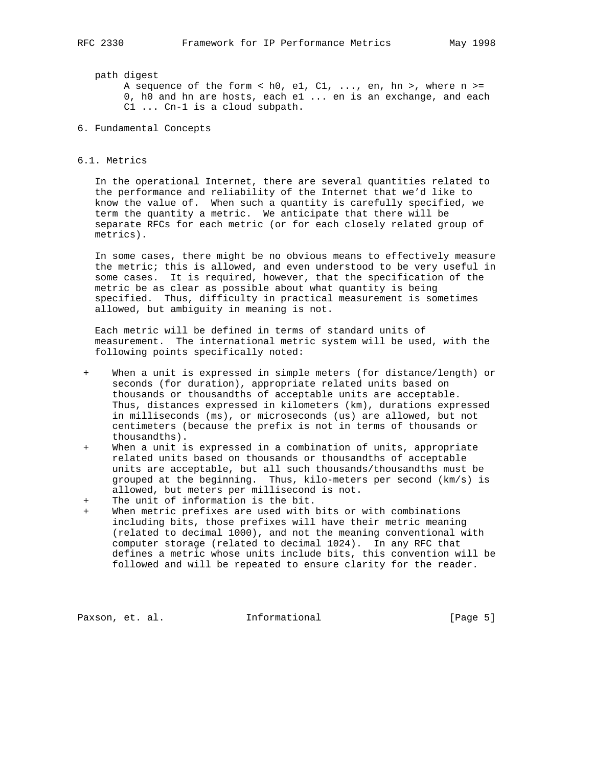### path digest

A sequence of the form < h0, e1, C1, ..., en, hn >, where  $n$  >= 0, h0 and hn are hosts, each e1 ... en is an exchange, and each C1 ... Cn-1 is a cloud subpath.

6. Fundamental Concepts

#### 6.1. Metrics

 In the operational Internet, there are several quantities related to the performance and reliability of the Internet that we'd like to know the value of. When such a quantity is carefully specified, we term the quantity a metric. We anticipate that there will be separate RFCs for each metric (or for each closely related group of metrics).

 In some cases, there might be no obvious means to effectively measure the metric; this is allowed, and even understood to be very useful in some cases. It is required, however, that the specification of the metric be as clear as possible about what quantity is being specified. Thus, difficulty in practical measurement is sometimes allowed, but ambiguity in meaning is not.

 Each metric will be defined in terms of standard units of measurement. The international metric system will be used, with the following points specifically noted:

- + When a unit is expressed in simple meters (for distance/length) or seconds (for duration), appropriate related units based on thousands or thousandths of acceptable units are acceptable. Thus, distances expressed in kilometers (km), durations expressed in milliseconds (ms), or microseconds (us) are allowed, but not centimeters (because the prefix is not in terms of thousands or thousandths).
- + When a unit is expressed in a combination of units, appropriate related units based on thousands or thousandths of acceptable units are acceptable, but all such thousands/thousandths must be grouped at the beginning. Thus, kilo-meters per second (km/s) is allowed, but meters per millisecond is not.
- + The unit of information is the bit.
- + When metric prefixes are used with bits or with combinations including bits, those prefixes will have their metric meaning (related to decimal 1000), and not the meaning conventional with computer storage (related to decimal 1024). In any RFC that defines a metric whose units include bits, this convention will be followed and will be repeated to ensure clarity for the reader.

Paxson, et. al. **Informational** [Page 5]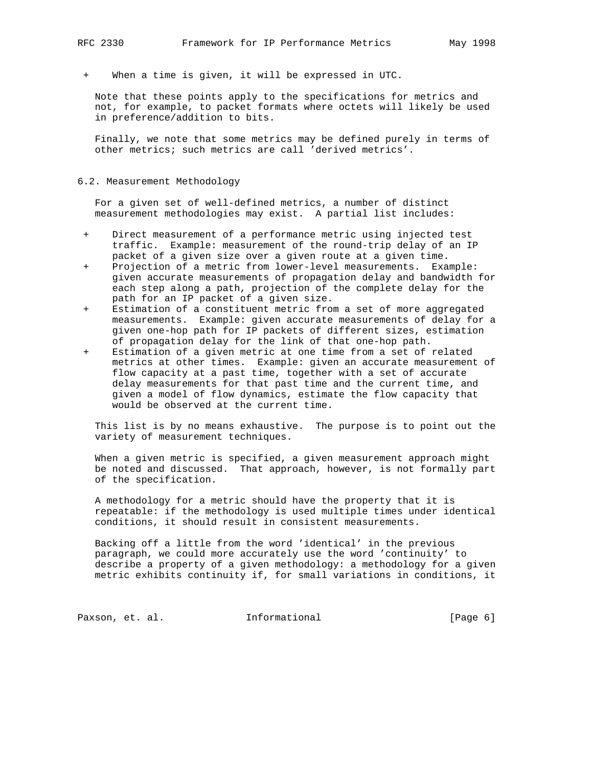+ When a time is given, it will be expressed in UTC.

 Note that these points apply to the specifications for metrics and not, for example, to packet formats where octets will likely be used in preference/addition to bits.

 Finally, we note that some metrics may be defined purely in terms of other metrics; such metrics are call 'derived metrics'.

# 6.2. Measurement Methodology

 For a given set of well-defined metrics, a number of distinct measurement methodologies may exist. A partial list includes:

- + Direct measurement of a performance metric using injected test traffic. Example: measurement of the round-trip delay of an IP packet of a given size over a given route at a given time.
- + Projection of a metric from lower-level measurements. Example: given accurate measurements of propagation delay and bandwidth for each step along a path, projection of the complete delay for the path for an IP packet of a given size.
- + Estimation of a constituent metric from a set of more aggregated measurements. Example: given accurate measurements of delay for a given one-hop path for IP packets of different sizes, estimation of propagation delay for the link of that one-hop path.
- Estimation of a given metric at one time from a set of related metrics at other times. Example: given an accurate measurement of flow capacity at a past time, together with a set of accurate delay measurements for that past time and the current time, and given a model of flow dynamics, estimate the flow capacity that would be observed at the current time.

 This list is by no means exhaustive. The purpose is to point out the variety of measurement techniques.

 When a given metric is specified, a given measurement approach might be noted and discussed. That approach, however, is not formally part of the specification.

 A methodology for a metric should have the property that it is repeatable: if the methodology is used multiple times under identical conditions, it should result in consistent measurements.

 Backing off a little from the word 'identical' in the previous paragraph, we could more accurately use the word 'continuity' to describe a property of a given methodology: a methodology for a given metric exhibits continuity if, for small variations in conditions, it

Paxson, et. al. 1nformational 1999 [Page 6]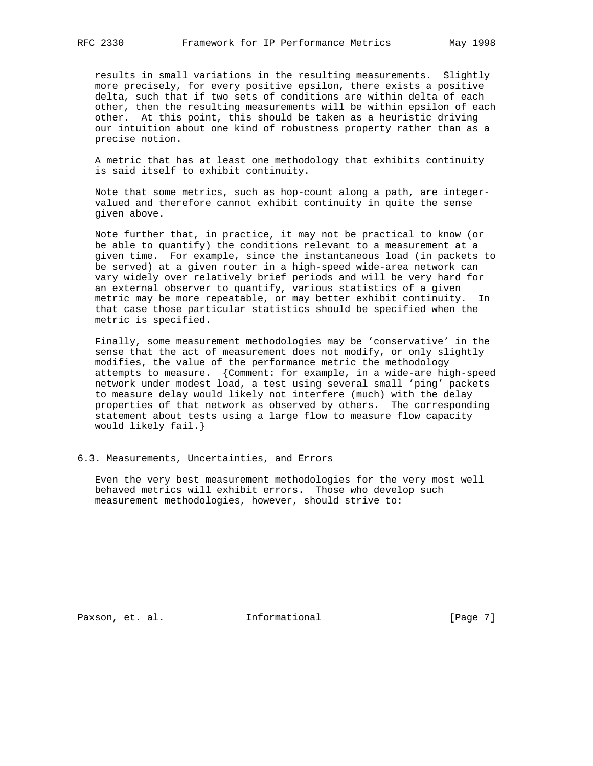results in small variations in the resulting measurements. Slightly more precisely, for every positive epsilon, there exists a positive delta, such that if two sets of conditions are within delta of each other, then the resulting measurements will be within epsilon of each other. At this point, this should be taken as a heuristic driving our intuition about one kind of robustness property rather than as a precise notion.

 A metric that has at least one methodology that exhibits continuity is said itself to exhibit continuity.

 Note that some metrics, such as hop-count along a path, are integer valued and therefore cannot exhibit continuity in quite the sense given above.

 Note further that, in practice, it may not be practical to know (or be able to quantify) the conditions relevant to a measurement at a given time. For example, since the instantaneous load (in packets to be served) at a given router in a high-speed wide-area network can vary widely over relatively brief periods and will be very hard for an external observer to quantify, various statistics of a given metric may be more repeatable, or may better exhibit continuity. In that case those particular statistics should be specified when the metric is specified.

 Finally, some measurement methodologies may be 'conservative' in the sense that the act of measurement does not modify, or only slightly modifies, the value of the performance metric the methodology attempts to measure. {Comment: for example, in a wide-are high-speed network under modest load, a test using several small 'ping' packets to measure delay would likely not interfere (much) with the delay properties of that network as observed by others. The corresponding statement about tests using a large flow to measure flow capacity would likely fail.}

6.3. Measurements, Uncertainties, and Errors

 Even the very best measurement methodologies for the very most well behaved metrics will exhibit errors. Those who develop such measurement methodologies, however, should strive to:

Paxson, et. al. **Informational** [Page 7]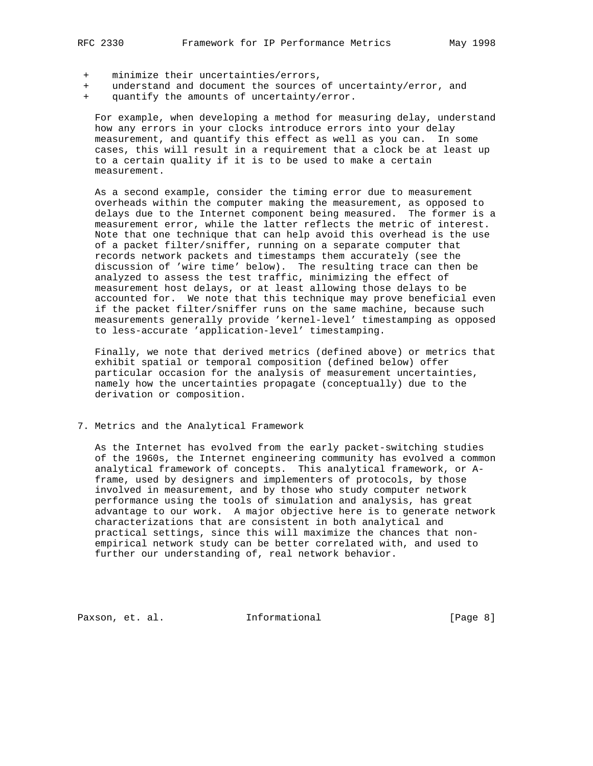- minimize their uncertainties/errors,
- understand and document the sources of uncertainty/error, and
- quantify the amounts of uncertainty/error.

 For example, when developing a method for measuring delay, understand how any errors in your clocks introduce errors into your delay measurement, and quantify this effect as well as you can. In some cases, this will result in a requirement that a clock be at least up to a certain quality if it is to be used to make a certain measurement.

 As a second example, consider the timing error due to measurement overheads within the computer making the measurement, as opposed to delays due to the Internet component being measured. The former is a measurement error, while the latter reflects the metric of interest. Note that one technique that can help avoid this overhead is the use of a packet filter/sniffer, running on a separate computer that records network packets and timestamps them accurately (see the discussion of 'wire time' below). The resulting trace can then be analyzed to assess the test traffic, minimizing the effect of measurement host delays, or at least allowing those delays to be accounted for. We note that this technique may prove beneficial even if the packet filter/sniffer runs on the same machine, because such measurements generally provide 'kernel-level' timestamping as opposed to less-accurate 'application-level' timestamping.

 Finally, we note that derived metrics (defined above) or metrics that exhibit spatial or temporal composition (defined below) offer particular occasion for the analysis of measurement uncertainties, namely how the uncertainties propagate (conceptually) due to the derivation or composition.

### 7. Metrics and the Analytical Framework

 As the Internet has evolved from the early packet-switching studies of the 1960s, the Internet engineering community has evolved a common analytical framework of concepts. This analytical framework, or A frame, used by designers and implementers of protocols, by those involved in measurement, and by those who study computer network performance using the tools of simulation and analysis, has great advantage to our work. A major objective here is to generate network characterizations that are consistent in both analytical and practical settings, since this will maximize the chances that non empirical network study can be better correlated with, and used to further our understanding of, real network behavior.

Paxson, et. al. **Informational** [Page 8]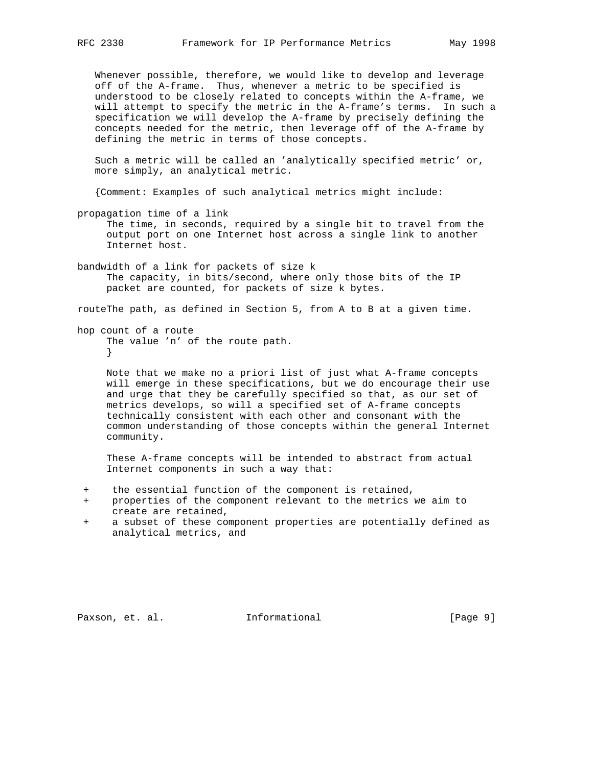Whenever possible, therefore, we would like to develop and leverage off of the A-frame. Thus, whenever a metric to be specified is understood to be closely related to concepts within the A-frame, we will attempt to specify the metric in the A-frame's terms. In such a specification we will develop the A-frame by precisely defining the concepts needed for the metric, then leverage off of the A-frame by defining the metric in terms of those concepts.

 Such a metric will be called an 'analytically specified metric' or, more simply, an analytical metric.

{Comment: Examples of such analytical metrics might include:

- propagation time of a link The time, in seconds, required by a single bit to travel from the output port on one Internet host across a single link to another Internet host.
- bandwidth of a link for packets of size k The capacity, in bits/second, where only those bits of the IP packet are counted, for packets of size k bytes.

routeThe path, as defined in Section 5, from A to B at a given time.

hop count of a route The value 'n' of the route path. }

> Note that we make no a priori list of just what A-frame concepts will emerge in these specifications, but we do encourage their use and urge that they be carefully specified so that, as our set of metrics develops, so will a specified set of A-frame concepts technically consistent with each other and consonant with the common understanding of those concepts within the general Internet community.

 These A-frame concepts will be intended to abstract from actual Internet components in such a way that:

- + the essential function of the component is retained,
- + properties of the component relevant to the metrics we aim to create are retained,
- + a subset of these component properties are potentially defined as analytical metrics, and

Paxson, et. al. **Informational** [Page 9]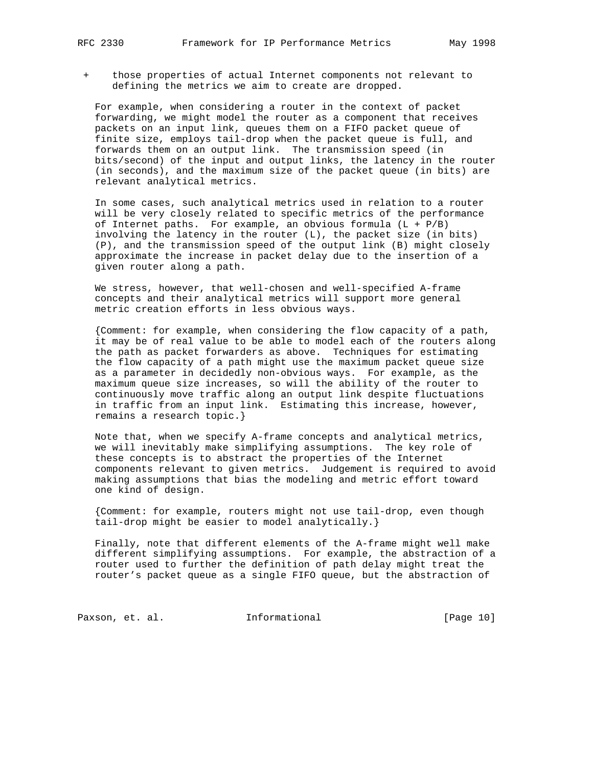+ those properties of actual Internet components not relevant to defining the metrics we aim to create are dropped.

 For example, when considering a router in the context of packet forwarding, we might model the router as a component that receives packets on an input link, queues them on a FIFO packet queue of finite size, employs tail-drop when the packet queue is full, and forwards them on an output link. The transmission speed (in bits/second) of the input and output links, the latency in the router (in seconds), and the maximum size of the packet queue (in bits) are relevant analytical metrics.

 In some cases, such analytical metrics used in relation to a router will be very closely related to specific metrics of the performance of Internet paths. For example, an obvious formula  $(L + P/B)$  involving the latency in the router (L), the packet size (in bits) (P), and the transmission speed of the output link (B) might closely approximate the increase in packet delay due to the insertion of a given router along a path.

 We stress, however, that well-chosen and well-specified A-frame concepts and their analytical metrics will support more general metric creation efforts in less obvious ways.

 {Comment: for example, when considering the flow capacity of a path, it may be of real value to be able to model each of the routers along the path as packet forwarders as above. Techniques for estimating the flow capacity of a path might use the maximum packet queue size as a parameter in decidedly non-obvious ways. For example, as the maximum queue size increases, so will the ability of the router to continuously move traffic along an output link despite fluctuations in traffic from an input link. Estimating this increase, however, remains a research topic.}

 Note that, when we specify A-frame concepts and analytical metrics, we will inevitably make simplifying assumptions. The key role of these concepts is to abstract the properties of the Internet components relevant to given metrics. Judgement is required to avoid making assumptions that bias the modeling and metric effort toward one kind of design.

 {Comment: for example, routers might not use tail-drop, even though tail-drop might be easier to model analytically.}

 Finally, note that different elements of the A-frame might well make different simplifying assumptions. For example, the abstraction of a router used to further the definition of path delay might treat the router's packet queue as a single FIFO queue, but the abstraction of

Paxson, et. al. 1nformational [Page 10]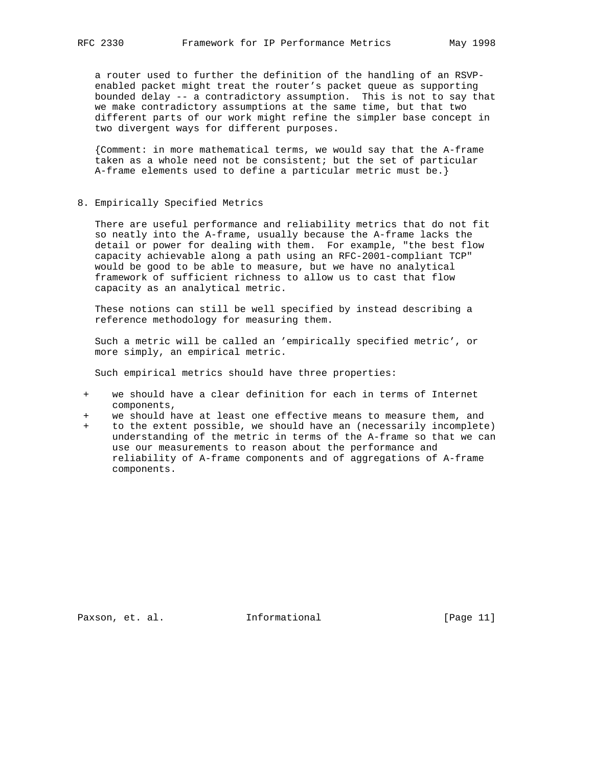a router used to further the definition of the handling of an RSVP enabled packet might treat the router's packet queue as supporting bounded delay -- a contradictory assumption. This is not to say that we make contradictory assumptions at the same time, but that two different parts of our work might refine the simpler base concept in two divergent ways for different purposes.

 {Comment: in more mathematical terms, we would say that the A-frame taken as a whole need not be consistent; but the set of particular A-frame elements used to define a particular metric must be.}

# 8. Empirically Specified Metrics

 There are useful performance and reliability metrics that do not fit so neatly into the A-frame, usually because the A-frame lacks the detail or power for dealing with them. For example, "the best flow capacity achievable along a path using an RFC-2001-compliant TCP" would be good to be able to measure, but we have no analytical framework of sufficient richness to allow us to cast that flow capacity as an analytical metric.

 These notions can still be well specified by instead describing a reference methodology for measuring them.

 Such a metric will be called an 'empirically specified metric', or more simply, an empirical metric.

Such empirical metrics should have three properties:

- + we should have a clear definition for each in terms of Internet components,
- we should have at least one effective means to measure them, and
- to the extent possible, we should have an (necessarily incomplete) understanding of the metric in terms of the A-frame so that we can use our measurements to reason about the performance and reliability of A-frame components and of aggregations of A-frame components.

Paxson, et. al. **Informational** [Page 11]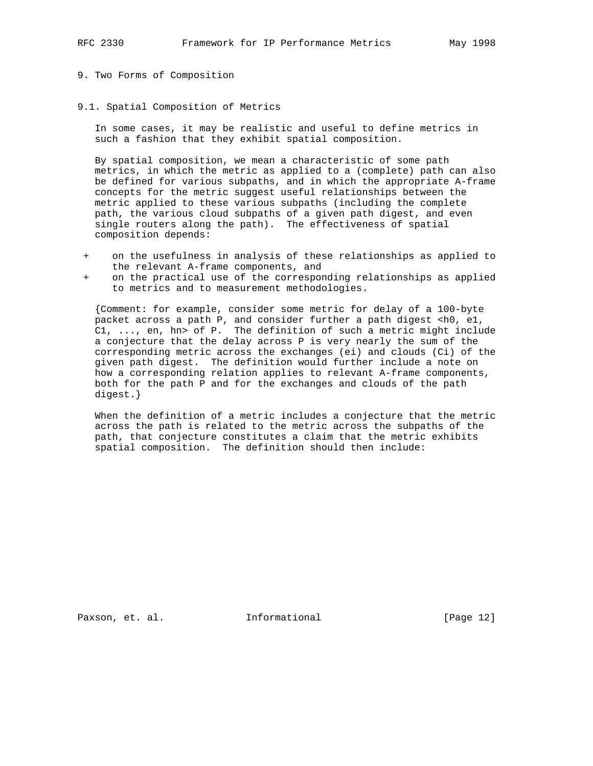# 9. Two Forms of Composition

# 9.1. Spatial Composition of Metrics

 In some cases, it may be realistic and useful to define metrics in such a fashion that they exhibit spatial composition.

 By spatial composition, we mean a characteristic of some path metrics, in which the metric as applied to a (complete) path can also be defined for various subpaths, and in which the appropriate A-frame concepts for the metric suggest useful relationships between the metric applied to these various subpaths (including the complete path, the various cloud subpaths of a given path digest, and even single routers along the path). The effectiveness of spatial composition depends:

- + on the usefulness in analysis of these relationships as applied to the relevant A-frame components, and
- on the practical use of the corresponding relationships as applied to metrics and to measurement methodologies.

 {Comment: for example, consider some metric for delay of a 100-byte packet across a path P, and consider further a path digest  $\langle$ h0, e1, C1, ..., en, hn> of P. The definition of such a metric might include a conjecture that the delay across P is very nearly the sum of the corresponding metric across the exchanges (ei) and clouds (Ci) of the given path digest. The definition would further include a note on how a corresponding relation applies to relevant A-frame components, both for the path P and for the exchanges and clouds of the path digest.}

 When the definition of a metric includes a conjecture that the metric across the path is related to the metric across the subpaths of the path, that conjecture constitutes a claim that the metric exhibits spatial composition. The definition should then include:

Paxson, et. al. **Informational** [Page 12]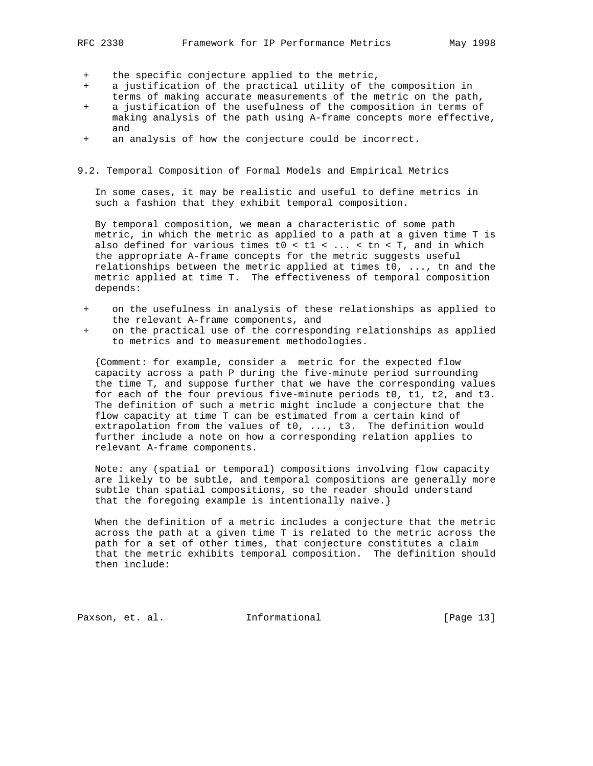- + the specific conjecture applied to the metric,
- a justification of the practical utility of the composition in
- terms of making accurate measurements of the metric on the path,
- a justification of the usefulness of the composition in terms of making analysis of the path using A-frame concepts more effective, and
- + an analysis of how the conjecture could be incorrect.
- 9.2. Temporal Composition of Formal Models and Empirical Metrics

 In some cases, it may be realistic and useful to define metrics in such a fashion that they exhibit temporal composition.

 By temporal composition, we mean a characteristic of some path metric, in which the metric as applied to a path at a given time T is also defined for various times t0 < t1 <  $\dots$  < tn < T, and in which the appropriate A-frame concepts for the metric suggests useful relationships between the metric applied at times t0, ..., tn and the metric applied at time T. The effectiveness of temporal composition depends:

- + on the usefulness in analysis of these relationships as applied to the relevant A-frame components, and
- on the practical use of the corresponding relationships as applied to metrics and to measurement methodologies.

 {Comment: for example, consider a metric for the expected flow capacity across a path P during the five-minute period surrounding the time T, and suppose further that we have the corresponding values for each of the four previous five-minute periods t0, t1, t2, and t3. The definition of such a metric might include a conjecture that the flow capacity at time T can be estimated from a certain kind of extrapolation from the values of t0, ..., t3. The definition would further include a note on how a corresponding relation applies to relevant A-frame components.

 Note: any (spatial or temporal) compositions involving flow capacity are likely to be subtle, and temporal compositions are generally more subtle than spatial compositions, so the reader should understand that the foregoing example is intentionally naive.}

 When the definition of a metric includes a conjecture that the metric across the path at a given time T is related to the metric across the path for a set of other times, that conjecture constitutes a claim that the metric exhibits temporal composition. The definition should then include:

Paxson, et. al. **Informational** [Page 13]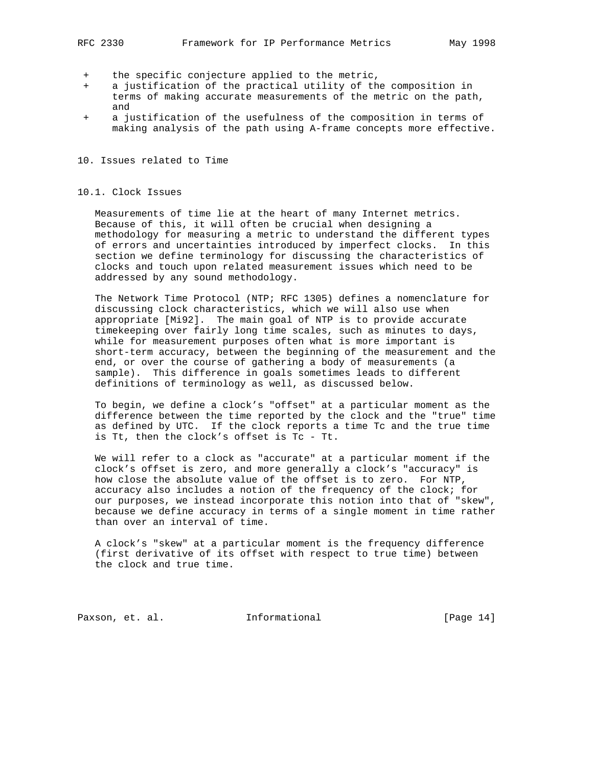- the specific conjecture applied to the metric,
- a justification of the practical utility of the composition in terms of making accurate measurements of the metric on the path, and
- + a justification of the usefulness of the composition in terms of making analysis of the path using A-frame concepts more effective.

### 10. Issues related to Time

### 10.1. Clock Issues

 Measurements of time lie at the heart of many Internet metrics. Because of this, it will often be crucial when designing a methodology for measuring a metric to understand the different types of errors and uncertainties introduced by imperfect clocks. In this section we define terminology for discussing the characteristics of clocks and touch upon related measurement issues which need to be addressed by any sound methodology.

 The Network Time Protocol (NTP; RFC 1305) defines a nomenclature for discussing clock characteristics, which we will also use when appropriate [Mi92]. The main goal of NTP is to provide accurate timekeeping over fairly long time scales, such as minutes to days, while for measurement purposes often what is more important is short-term accuracy, between the beginning of the measurement and the end, or over the course of gathering a body of measurements (a sample). This difference in goals sometimes leads to different definitions of terminology as well, as discussed below.

 To begin, we define a clock's "offset" at a particular moment as the difference between the time reported by the clock and the "true" time as defined by UTC. If the clock reports a time Tc and the true time is Tt, then the clock's offset is Tc - Tt.

 We will refer to a clock as "accurate" at a particular moment if the clock's offset is zero, and more generally a clock's "accuracy" is how close the absolute value of the offset is to zero. For NTP, accuracy also includes a notion of the frequency of the clock; for our purposes, we instead incorporate this notion into that of "skew", because we define accuracy in terms of a single moment in time rather than over an interval of time.

 A clock's "skew" at a particular moment is the frequency difference (first derivative of its offset with respect to true time) between the clock and true time.

Paxson, et. al. **Informational** [Page 14]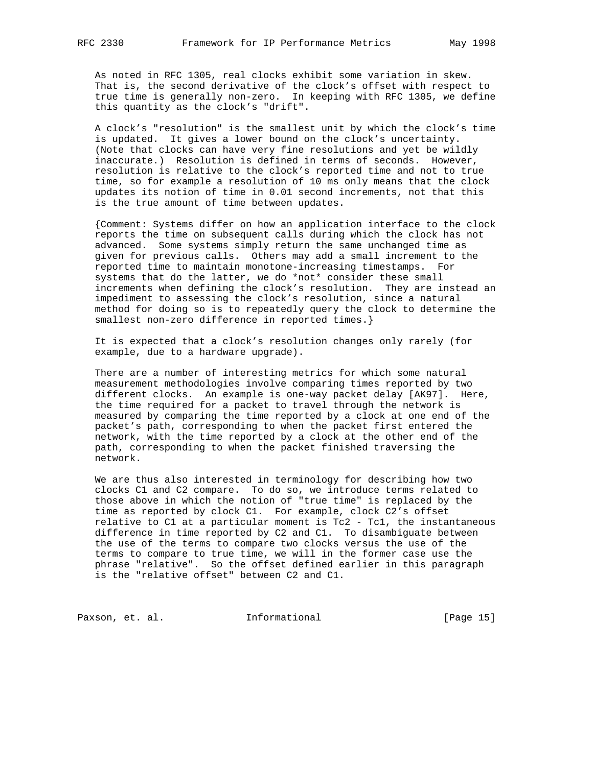As noted in RFC 1305, real clocks exhibit some variation in skew. That is, the second derivative of the clock's offset with respect to true time is generally non-zero. In keeping with RFC 1305, we define this quantity as the clock's "drift".

 A clock's "resolution" is the smallest unit by which the clock's time is updated. It gives a lower bound on the clock's uncertainty. (Note that clocks can have very fine resolutions and yet be wildly inaccurate.) Resolution is defined in terms of seconds. However, resolution is relative to the clock's reported time and not to true time, so for example a resolution of 10 ms only means that the clock updates its notion of time in 0.01 second increments, not that this is the true amount of time between updates.

 {Comment: Systems differ on how an application interface to the clock reports the time on subsequent calls during which the clock has not advanced. Some systems simply return the same unchanged time as given for previous calls. Others may add a small increment to the reported time to maintain monotone-increasing timestamps. For systems that do the latter, we do \*not\* consider these small increments when defining the clock's resolution. They are instead an impediment to assessing the clock's resolution, since a natural method for doing so is to repeatedly query the clock to determine the smallest non-zero difference in reported times.}

 It is expected that a clock's resolution changes only rarely (for example, due to a hardware upgrade).

 There are a number of interesting metrics for which some natural measurement methodologies involve comparing times reported by two different clocks. An example is one-way packet delay [AK97]. Here, the time required for a packet to travel through the network is measured by comparing the time reported by a clock at one end of the packet's path, corresponding to when the packet first entered the network, with the time reported by a clock at the other end of the path, corresponding to when the packet finished traversing the network.

 We are thus also interested in terminology for describing how two clocks C1 and C2 compare. To do so, we introduce terms related to those above in which the notion of "true time" is replaced by the time as reported by clock C1. For example, clock C2's offset relative to C1 at a particular moment is Tc2 - Tc1, the instantaneous difference in time reported by C2 and C1. To disambiguate between the use of the terms to compare two clocks versus the use of the terms to compare to true time, we will in the former case use the phrase "relative". So the offset defined earlier in this paragraph is the "relative offset" between C2 and C1.

Paxson, et. al. 10. Informational [Page 15]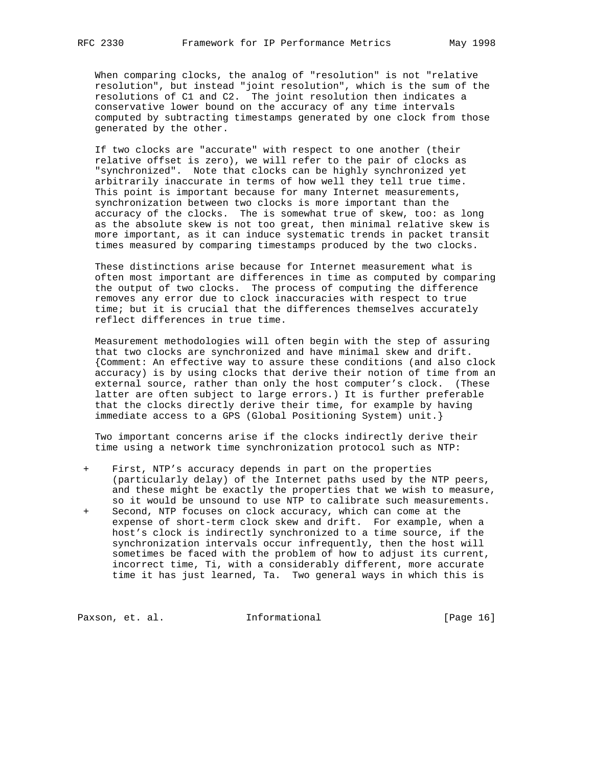When comparing clocks, the analog of "resolution" is not "relative resolution", but instead "joint resolution", which is the sum of the resolutions of C1 and C2. The joint resolution then indicates a conservative lower bound on the accuracy of any time intervals computed by subtracting timestamps generated by one clock from those generated by the other.

 If two clocks are "accurate" with respect to one another (their relative offset is zero), we will refer to the pair of clocks as "synchronized". Note that clocks can be highly synchronized yet arbitrarily inaccurate in terms of how well they tell true time. This point is important because for many Internet measurements, synchronization between two clocks is more important than the accuracy of the clocks. The is somewhat true of skew, too: as long as the absolute skew is not too great, then minimal relative skew is more important, as it can induce systematic trends in packet transit times measured by comparing timestamps produced by the two clocks.

 These distinctions arise because for Internet measurement what is often most important are differences in time as computed by comparing the output of two clocks. The process of computing the difference removes any error due to clock inaccuracies with respect to true time; but it is crucial that the differences themselves accurately reflect differences in true time.

 Measurement methodologies will often begin with the step of assuring that two clocks are synchronized and have minimal skew and drift. {Comment: An effective way to assure these conditions (and also clock accuracy) is by using clocks that derive their notion of time from an external source, rather than only the host computer's clock. (These latter are often subject to large errors.) It is further preferable that the clocks directly derive their time, for example by having immediate access to a GPS (Global Positioning System) unit.}

 Two important concerns arise if the clocks indirectly derive their time using a network time synchronization protocol such as NTP:

First, NTP's accuracy depends in part on the properties (particularly delay) of the Internet paths used by the NTP peers, and these might be exactly the properties that we wish to measure, so it would be unsound to use NTP to calibrate such measurements. + Second, NTP focuses on clock accuracy, which can come at the expense of short-term clock skew and drift. For example, when a host's clock is indirectly synchronized to a time source, if the synchronization intervals occur infrequently, then the host will sometimes be faced with the problem of how to adjust its current, incorrect time, Ti, with a considerably different, more accurate time it has just learned, Ta. Two general ways in which this is

Paxson, et. al. 1nformational [Page 16]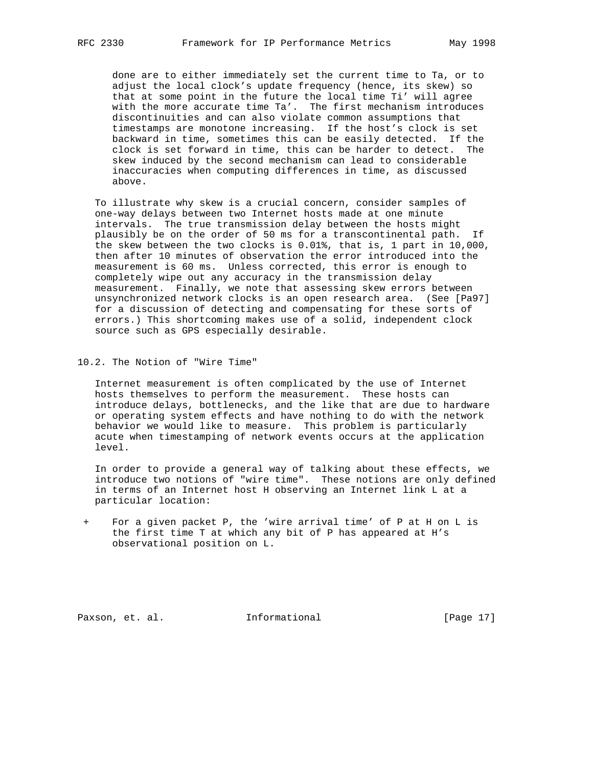done are to either immediately set the current time to Ta, or to adjust the local clock's update frequency (hence, its skew) so that at some point in the future the local time Ti' will agree with the more accurate time Ta'. The first mechanism introduces discontinuities and can also violate common assumptions that timestamps are monotone increasing. If the host's clock is set backward in time, sometimes this can be easily detected. If the clock is set forward in time, this can be harder to detect. The skew induced by the second mechanism can lead to considerable inaccuracies when computing differences in time, as discussed above.

 To illustrate why skew is a crucial concern, consider samples of one-way delays between two Internet hosts made at one minute intervals. The true transmission delay between the hosts might plausibly be on the order of 50 ms for a transcontinental path. If the skew between the two clocks is 0.01%, that is, 1 part in 10,000, then after 10 minutes of observation the error introduced into the measurement is 60 ms. Unless corrected, this error is enough to completely wipe out any accuracy in the transmission delay measurement. Finally, we note that assessing skew errors between unsynchronized network clocks is an open research area. (See [Pa97] for a discussion of detecting and compensating for these sorts of errors.) This shortcoming makes use of a solid, independent clock source such as GPS especially desirable.

10.2. The Notion of "Wire Time"

 Internet measurement is often complicated by the use of Internet hosts themselves to perform the measurement. These hosts can introduce delays, bottlenecks, and the like that are due to hardware or operating system effects and have nothing to do with the network behavior we would like to measure. This problem is particularly acute when timestamping of network events occurs at the application level.

 In order to provide a general way of talking about these effects, we introduce two notions of "wire time". These notions are only defined in terms of an Internet host H observing an Internet link L at a particular location:

For a given packet P, the 'wire arrival time' of P at H on L is the first time T at which any bit of P has appeared at H's observational position on L.

Paxson, et. al. **Informational** [Page 17]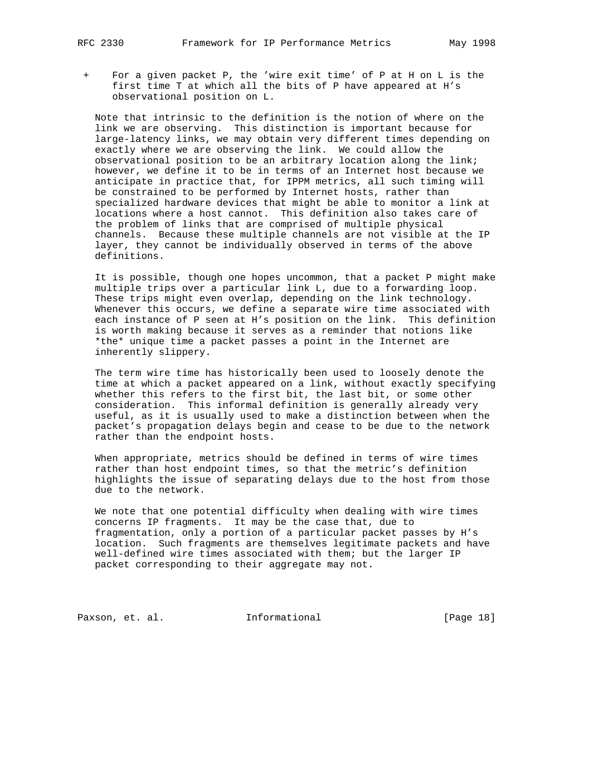+ For a given packet P, the 'wire exit time' of P at H on L is the first time T at which all the bits of P have appeared at H's observational position on L.

 Note that intrinsic to the definition is the notion of where on the link we are observing. This distinction is important because for large-latency links, we may obtain very different times depending on exactly where we are observing the link. We could allow the observational position to be an arbitrary location along the link; however, we define it to be in terms of an Internet host because we anticipate in practice that, for IPPM metrics, all such timing will be constrained to be performed by Internet hosts, rather than specialized hardware devices that might be able to monitor a link at locations where a host cannot. This definition also takes care of the problem of links that are comprised of multiple physical channels. Because these multiple channels are not visible at the IP layer, they cannot be individually observed in terms of the above definitions.

 It is possible, though one hopes uncommon, that a packet P might make multiple trips over a particular link L, due to a forwarding loop. These trips might even overlap, depending on the link technology. Whenever this occurs, we define a separate wire time associated with each instance of P seen at H's position on the link. This definition is worth making because it serves as a reminder that notions like \*the\* unique time a packet passes a point in the Internet are inherently slippery.

 The term wire time has historically been used to loosely denote the time at which a packet appeared on a link, without exactly specifying whether this refers to the first bit, the last bit, or some other consideration. This informal definition is generally already very useful, as it is usually used to make a distinction between when the packet's propagation delays begin and cease to be due to the network rather than the endpoint hosts.

 When appropriate, metrics should be defined in terms of wire times rather than host endpoint times, so that the metric's definition highlights the issue of separating delays due to the host from those due to the network.

 We note that one potential difficulty when dealing with wire times concerns IP fragments. It may be the case that, due to fragmentation, only a portion of a particular packet passes by H's location. Such fragments are themselves legitimate packets and have well-defined wire times associated with them; but the larger IP packet corresponding to their aggregate may not.

Paxson, et. al. 10. Informational [Page 18]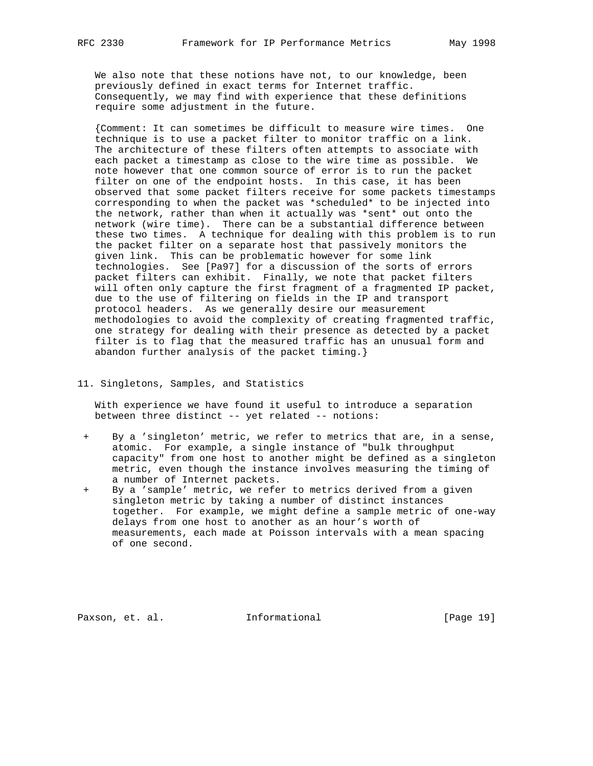We also note that these notions have not, to our knowledge, been previously defined in exact terms for Internet traffic. Consequently, we may find with experience that these definitions require some adjustment in the future.

 {Comment: It can sometimes be difficult to measure wire times. One technique is to use a packet filter to monitor traffic on a link. The architecture of these filters often attempts to associate with each packet a timestamp as close to the wire time as possible. We note however that one common source of error is to run the packet filter on one of the endpoint hosts. In this case, it has been observed that some packet filters receive for some packets timestamps corresponding to when the packet was \*scheduled\* to be injected into the network, rather than when it actually was \*sent\* out onto the network (wire time). There can be a substantial difference between these two times. A technique for dealing with this problem is to run the packet filter on a separate host that passively monitors the given link. This can be problematic however for some link technologies. See [Pa97] for a discussion of the sorts of errors packet filters can exhibit. Finally, we note that packet filters will often only capture the first fragment of a fragmented IP packet, due to the use of filtering on fields in the IP and transport protocol headers. As we generally desire our measurement methodologies to avoid the complexity of creating fragmented traffic, one strategy for dealing with their presence as detected by a packet filter is to flag that the measured traffic has an unusual form and abandon further analysis of the packet timing.}

#### 11. Singletons, Samples, and Statistics

 With experience we have found it useful to introduce a separation between three distinct -- yet related -- notions:

- By a 'singleton' metric, we refer to metrics that are, in a sense, atomic. For example, a single instance of "bulk throughput capacity" from one host to another might be defined as a singleton metric, even though the instance involves measuring the timing of a number of Internet packets.
- + By a 'sample' metric, we refer to metrics derived from a given singleton metric by taking a number of distinct instances together. For example, we might define a sample metric of one-way delays from one host to another as an hour's worth of measurements, each made at Poisson intervals with a mean spacing of one second.

Paxson, et. al. **Informational** [Page 19]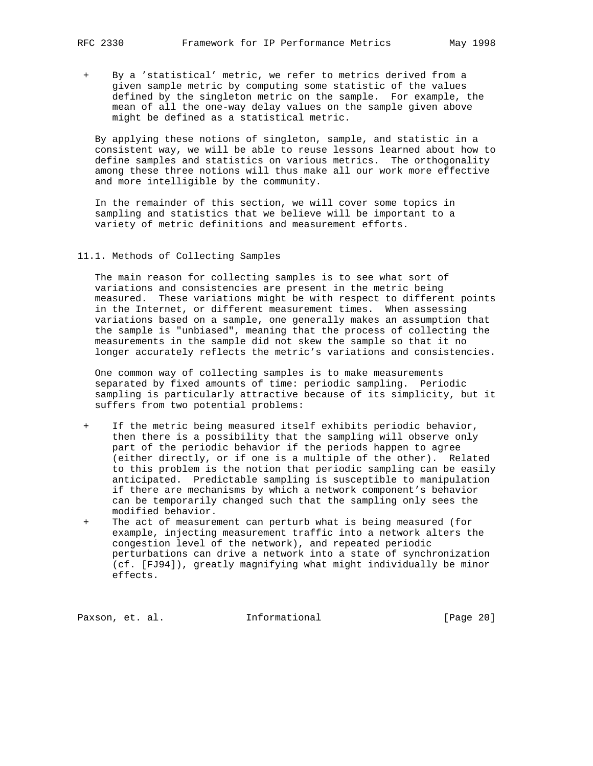By a 'statistical' metric, we refer to metrics derived from a given sample metric by computing some statistic of the values defined by the singleton metric on the sample. For example, the mean of all the one-way delay values on the sample given above might be defined as a statistical metric.

 By applying these notions of singleton, sample, and statistic in a consistent way, we will be able to reuse lessons learned about how to define samples and statistics on various metrics. The orthogonality among these three notions will thus make all our work more effective and more intelligible by the community.

 In the remainder of this section, we will cover some topics in sampling and statistics that we believe will be important to a variety of metric definitions and measurement efforts.

11.1. Methods of Collecting Samples

 The main reason for collecting samples is to see what sort of variations and consistencies are present in the metric being measured. These variations might be with respect to different points in the Internet, or different measurement times. When assessing variations based on a sample, one generally makes an assumption that the sample is "unbiased", meaning that the process of collecting the measurements in the sample did not skew the sample so that it no longer accurately reflects the metric's variations and consistencies.

 One common way of collecting samples is to make measurements separated by fixed amounts of time: periodic sampling. Periodic sampling is particularly attractive because of its simplicity, but it suffers from two potential problems:

- + If the metric being measured itself exhibits periodic behavior, then there is a possibility that the sampling will observe only part of the periodic behavior if the periods happen to agree (either directly, or if one is a multiple of the other). Related to this problem is the notion that periodic sampling can be easily anticipated. Predictable sampling is susceptible to manipulation if there are mechanisms by which a network component's behavior can be temporarily changed such that the sampling only sees the modified behavior.
- + The act of measurement can perturb what is being measured (for example, injecting measurement traffic into a network alters the congestion level of the network), and repeated periodic perturbations can drive a network into a state of synchronization (cf. [FJ94]), greatly magnifying what might individually be minor effects.

Paxson, et. al. 1nformational [Page 20]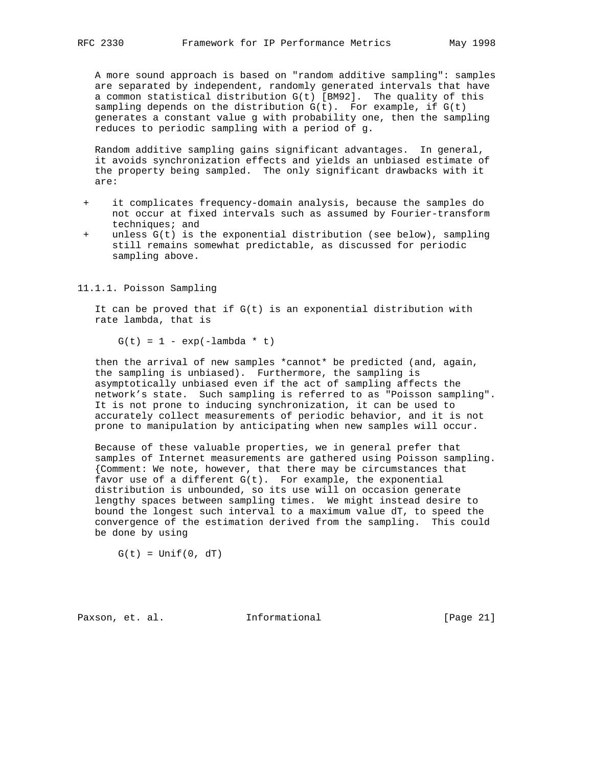A more sound approach is based on "random additive sampling": samples are separated by independent, randomly generated intervals that have a common statistical distribution G(t) [BM92]. The quality of this sampling depends on the distribution  $G(t)$ . For example, if  $G(t)$  generates a constant value g with probability one, then the sampling reduces to periodic sampling with a period of g.

 Random additive sampling gains significant advantages. In general, it avoids synchronization effects and yields an unbiased estimate of the property being sampled. The only significant drawbacks with it are:

- it complicates frequency-domain analysis, because the samples do not occur at fixed intervals such as assumed by Fourier-transform techniques; and
- unless  $G(t)$  is the exponential distribution (see below), sampling still remains somewhat predictable, as discussed for periodic sampling above.

11.1.1. Poisson Sampling

It can be proved that if  $G(t)$  is an exponential distribution with rate lambda, that is

 $G(t) = 1 - exp(-lambda * t)$ 

 then the arrival of new samples \*cannot\* be predicted (and, again, the sampling is unbiased). Furthermore, the sampling is asymptotically unbiased even if the act of sampling affects the network's state. Such sampling is referred to as "Poisson sampling". It is not prone to inducing synchronization, it can be used to accurately collect measurements of periodic behavior, and it is not prone to manipulation by anticipating when new samples will occur.

 Because of these valuable properties, we in general prefer that samples of Internet measurements are gathered using Poisson sampling. {Comment: We note, however, that there may be circumstances that favor use of a different  $G(t)$ . For example, the exponential distribution is unbounded, so its use will on occasion generate lengthy spaces between sampling times. We might instead desire to bound the longest such interval to a maximum value dT, to speed the convergence of the estimation derived from the sampling. This could be done by using

 $G(t) = Unif(0, dT)$ 

Paxson, et. al. 1nformational 1999 [Page 21]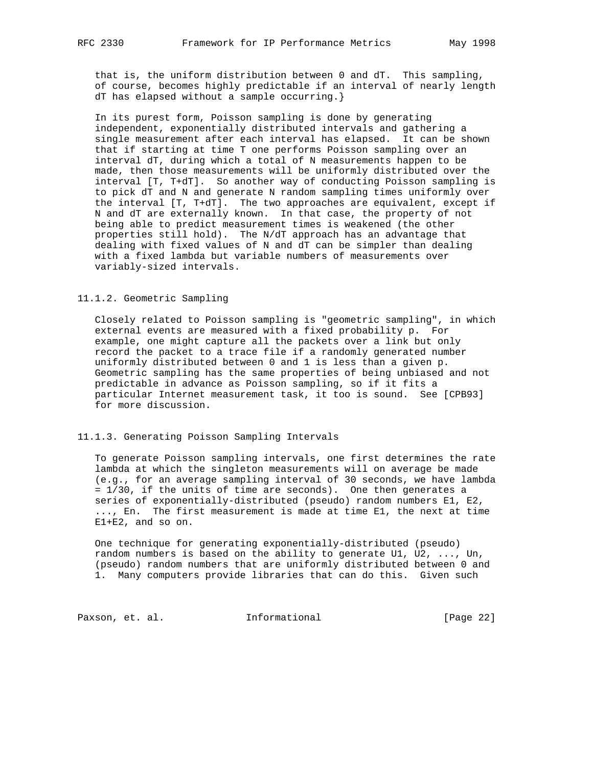that is, the uniform distribution between 0 and dT. This sampling, of course, becomes highly predictable if an interval of nearly length dT has elapsed without a sample occurring.}

 In its purest form, Poisson sampling is done by generating independent, exponentially distributed intervals and gathering a single measurement after each interval has elapsed. It can be shown that if starting at time T one performs Poisson sampling over an interval dT, during which a total of N measurements happen to be made, then those measurements will be uniformly distributed over the interval [T, T+dT]. So another way of conducting Poisson sampling is to pick dT and N and generate N random sampling times uniformly over the interval [T, T+dT]. The two approaches are equivalent, except if N and dT are externally known. In that case, the property of not being able to predict measurement times is weakened (the other properties still hold). The N/dT approach has an advantage that dealing with fixed values of N and dT can be simpler than dealing with a fixed lambda but variable numbers of measurements over variably-sized intervals.

### 11.1.2. Geometric Sampling

 Closely related to Poisson sampling is "geometric sampling", in which external events are measured with a fixed probability p. For example, one might capture all the packets over a link but only record the packet to a trace file if a randomly generated number uniformly distributed between 0 and 1 is less than a given p. Geometric sampling has the same properties of being unbiased and not predictable in advance as Poisson sampling, so if it fits a particular Internet measurement task, it too is sound. See [CPB93] for more discussion.

### 11.1.3. Generating Poisson Sampling Intervals

 To generate Poisson sampling intervals, one first determines the rate lambda at which the singleton measurements will on average be made (e.g., for an average sampling interval of 30 seconds, we have lambda = 1/30, if the units of time are seconds). One then generates a series of exponentially-distributed (pseudo) random numbers E1, E2, ..., En. The first measurement is made at time E1, the next at time E1+E2, and so on.

 One technique for generating exponentially-distributed (pseudo) random numbers is based on the ability to generate U1, U2, ..., Un, (pseudo) random numbers that are uniformly distributed between 0 and 1. Many computers provide libraries that can do this. Given such

Paxson, et. al. 1nformational [Page 22]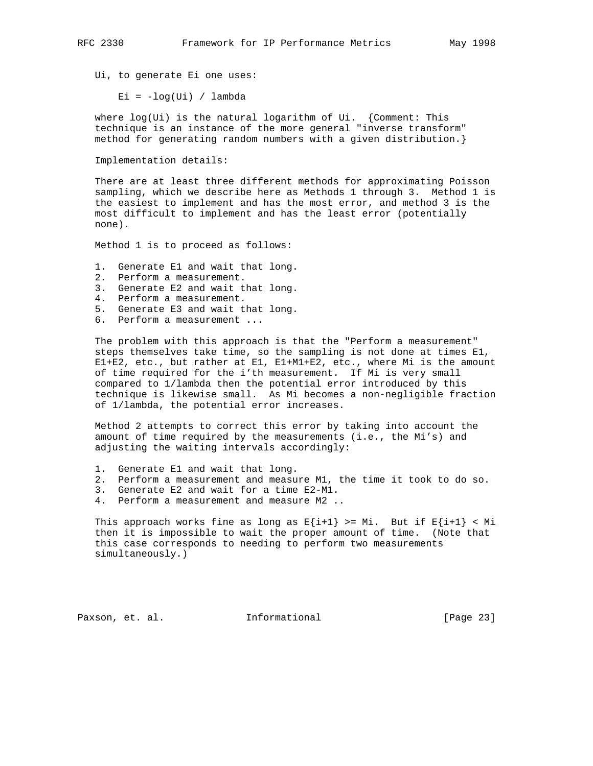Ui, to generate Ei one uses:

Ei =  $-log(Ui) / lambda$ 

 where log(Ui) is the natural logarithm of Ui. {Comment: This technique is an instance of the more general "inverse transform" method for generating random numbers with a given distribution.}

Implementation details:

 There are at least three different methods for approximating Poisson sampling, which we describe here as Methods 1 through 3. Method 1 is the easiest to implement and has the most error, and method 3 is the most difficult to implement and has the least error (potentially none).

Method 1 is to proceed as follows:

- 1. Generate E1 and wait that long.
- 2. Perform a measurement.
- 3. Generate E2 and wait that long.
- 4. Perform a measurement.
- 5. Generate E3 and wait that long.
- 6. Perform a measurement ...

 The problem with this approach is that the "Perform a measurement" steps themselves take time, so the sampling is not done at times E1, E1+E2, etc., but rather at E1, E1+M1+E2, etc., where Mi is the amount of time required for the i'th measurement. If Mi is very small compared to 1/lambda then the potential error introduced by this technique is likewise small. As Mi becomes a non-negligible fraction of 1/lambda, the potential error increases.

 Method 2 attempts to correct this error by taking into account the amount of time required by the measurements (i.e., the Mi's) and adjusting the waiting intervals accordingly:

- 1. Generate E1 and wait that long.
- 2. Perform a measurement and measure M1, the time it took to do so.
	- 3. Generate E2 and wait for a time E2-M1.
	- 4. Perform a measurement and measure M2 ..

This approach works fine as long as  $E{i+1} > = Mi$ . But if  $E{i+1} < Mi$  then it is impossible to wait the proper amount of time. (Note that this case corresponds to needing to perform two measurements simultaneously.)

Paxson, et. al. **Informational** [Page 23]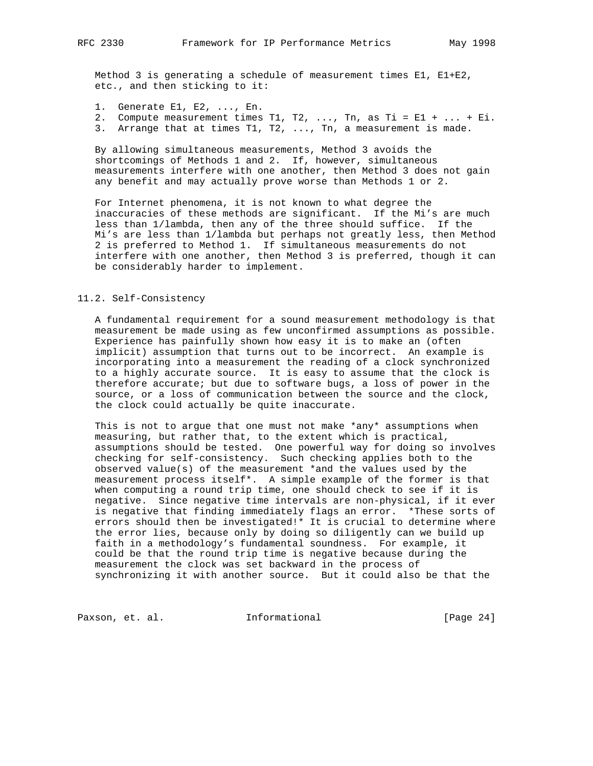Method 3 is generating a schedule of measurement times E1, E1+E2, etc., and then sticking to it:

- 1. Generate E1, E2, ..., En.
- 2. Compute measurement times T1, T2, ..., Tn, as Ti = E1 + ... + Ei.
- 3. Arrange that at times T1, T2, ..., Tn, a measurement is made.

 By allowing simultaneous measurements, Method 3 avoids the shortcomings of Methods 1 and 2. If, however, simultaneous measurements interfere with one another, then Method 3 does not gain any benefit and may actually prove worse than Methods 1 or 2.

 For Internet phenomena, it is not known to what degree the inaccuracies of these methods are significant. If the Mi's are much less than 1/lambda, then any of the three should suffice. If the Mi's are less than 1/lambda but perhaps not greatly less, then Method 2 is preferred to Method 1. If simultaneous measurements do not interfere with one another, then Method 3 is preferred, though it can be considerably harder to implement.

### 11.2. Self-Consistency

 A fundamental requirement for a sound measurement methodology is that measurement be made using as few unconfirmed assumptions as possible. Experience has painfully shown how easy it is to make an (often implicit) assumption that turns out to be incorrect. An example is incorporating into a measurement the reading of a clock synchronized to a highly accurate source. It is easy to assume that the clock is therefore accurate; but due to software bugs, a loss of power in the source, or a loss of communication between the source and the clock, the clock could actually be quite inaccurate.

This is not to arque that one must not make \*any\* assumptions when measuring, but rather that, to the extent which is practical, assumptions should be tested. One powerful way for doing so involves checking for self-consistency. Such checking applies both to the observed value(s) of the measurement \*and the values used by the measurement process itself\*. A simple example of the former is that when computing a round trip time, one should check to see if it is negative. Since negative time intervals are non-physical, if it ever is negative that finding immediately flags an error. \*These sorts of errors should then be investigated!\* It is crucial to determine where the error lies, because only by doing so diligently can we build up faith in a methodology's fundamental soundness. For example, it could be that the round trip time is negative because during the measurement the clock was set backward in the process of synchronizing it with another source. But it could also be that the

Paxson, et. al. 1nformational 1999 [Page 24]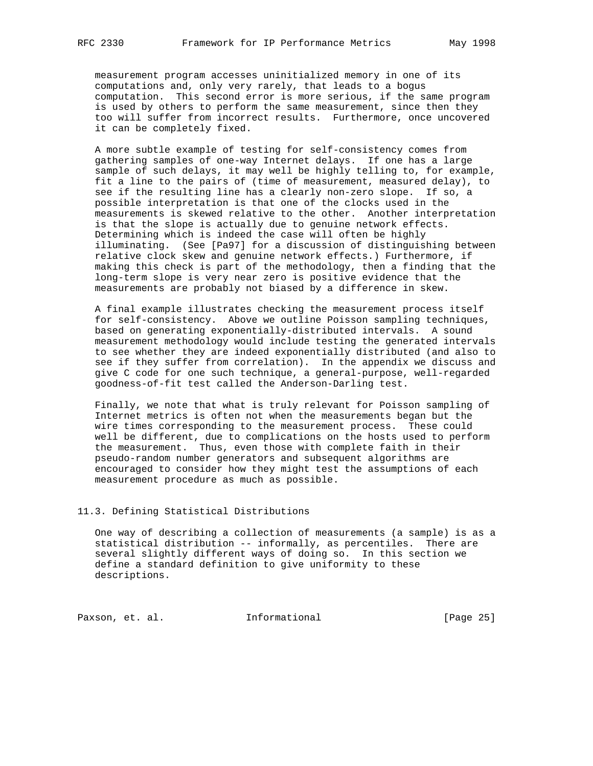measurement program accesses uninitialized memory in one of its computations and, only very rarely, that leads to a bogus computation. This second error is more serious, if the same program is used by others to perform the same measurement, since then they too will suffer from incorrect results. Furthermore, once uncovered it can be completely fixed.

 A more subtle example of testing for self-consistency comes from gathering samples of one-way Internet delays. If one has a large sample of such delays, it may well be highly telling to, for example, fit a line to the pairs of (time of measurement, measured delay), to see if the resulting line has a clearly non-zero slope. If so, a possible interpretation is that one of the clocks used in the measurements is skewed relative to the other. Another interpretation is that the slope is actually due to genuine network effects. Determining which is indeed the case will often be highly illuminating. (See [Pa97] for a discussion of distinguishing between relative clock skew and genuine network effects.) Furthermore, if making this check is part of the methodology, then a finding that the long-term slope is very near zero is positive evidence that the measurements are probably not biased by a difference in skew.

 A final example illustrates checking the measurement process itself for self-consistency. Above we outline Poisson sampling techniques, based on generating exponentially-distributed intervals. A sound measurement methodology would include testing the generated intervals to see whether they are indeed exponentially distributed (and also to see if they suffer from correlation). In the appendix we discuss and give C code for one such technique, a general-purpose, well-regarded goodness-of-fit test called the Anderson-Darling test.

 Finally, we note that what is truly relevant for Poisson sampling of Internet metrics is often not when the measurements began but the wire times corresponding to the measurement process. These could well be different, due to complications on the hosts used to perform the measurement. Thus, even those with complete faith in their pseudo-random number generators and subsequent algorithms are encouraged to consider how they might test the assumptions of each measurement procedure as much as possible.

# 11.3. Defining Statistical Distributions

 One way of describing a collection of measurements (a sample) is as a statistical distribution -- informally, as percentiles. There are several slightly different ways of doing so. In this section we define a standard definition to give uniformity to these descriptions.

Paxson, et. al. 10. Informational [Page 25]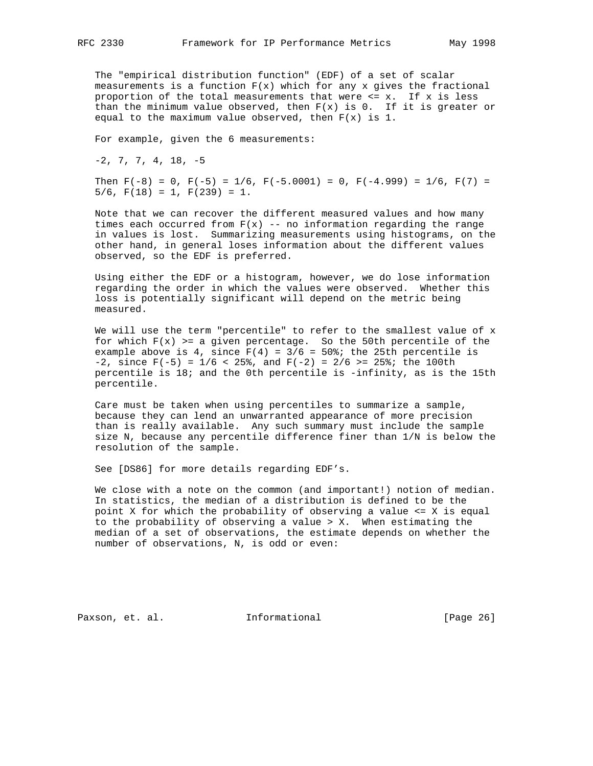The "empirical distribution function" (EDF) of a set of scalar measurements is a function  $F(x)$  which for any x gives the fractional proportion of the total measurements that were  $\leq x$ . If x is less than the minimum value observed, then  $F(x)$  is 0. If it is greater or equal to the maximum value observed, then  $F(x)$  is 1.

For example, given the 6 measurements:

 $-2$ , 7, 7, 4, 18,  $-5$ 

Then  $F(-8) = 0$ ,  $F(-5) = 1/6$ ,  $F(-5.0001) = 0$ ,  $F(-4.999) = 1/6$ ,  $F(7) =$  $5/6$ ,  $F(18) = 1$ ,  $F(239) = 1$ .

 Note that we can recover the different measured values and how many times each occurred from  $F(x)$  -- no information regarding the range in values is lost. Summarizing measurements using histograms, on the other hand, in general loses information about the different values observed, so the EDF is preferred.

 Using either the EDF or a histogram, however, we do lose information regarding the order in which the values were observed. Whether this loss is potentially significant will depend on the metric being measured.

 We will use the term "percentile" to refer to the smallest value of x for which  $F(x)$  >= a given percentage. So the 50th percentile of the example above is 4, since  $F(4) = 3/6 = 50$ ; the 25th percentile is -2, since  $F(-5) = 1/6 < 25$ , and  $F(-2) = 2/6 > = 25$ ; the 100th percentile is 18; and the 0th percentile is -infinity, as is the 15th percentile.

 Care must be taken when using percentiles to summarize a sample, because they can lend an unwarranted appearance of more precision than is really available. Any such summary must include the sample size N, because any percentile difference finer than 1/N is below the resolution of the sample.

See [DS86] for more details regarding EDF's.

 We close with a note on the common (and important!) notion of median. In statistics, the median of a distribution is defined to be the point X for which the probability of observing a value <= X is equal to the probability of observing a value > X. When estimating the median of a set of observations, the estimate depends on whether the number of observations, N, is odd or even:

Paxson, et. al. **Informational** [Page 26]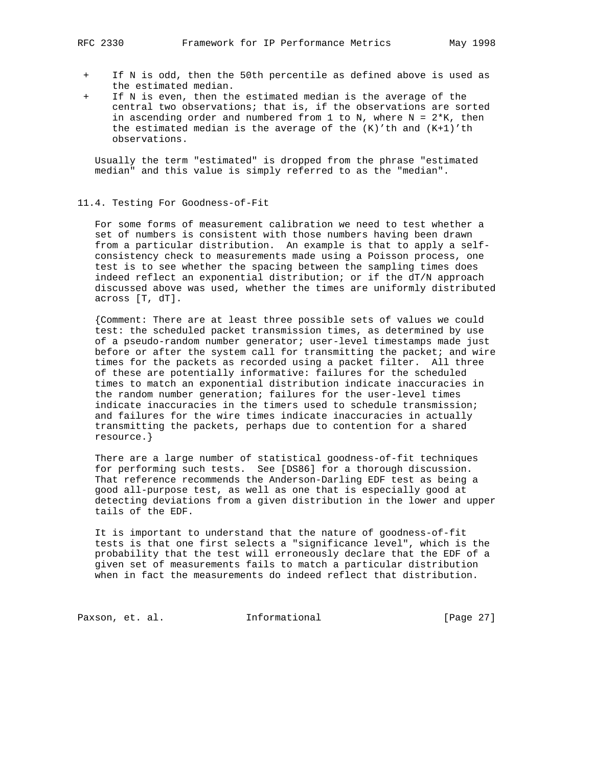- + If N is odd, then the 50th percentile as defined above is used as the estimated median.
- If N is even, then the estimated median is the average of the central two observations; that is, if the observations are sorted in ascending order and numbered from 1 to N, where  $N = 2*K$ , then the estimated median is the average of the  $(K)'$ th and  $(K+1)'$ th observations.

 Usually the term "estimated" is dropped from the phrase "estimated median" and this value is simply referred to as the "median".

#### 11.4. Testing For Goodness-of-Fit

 For some forms of measurement calibration we need to test whether a set of numbers is consistent with those numbers having been drawn from a particular distribution. An example is that to apply a self consistency check to measurements made using a Poisson process, one test is to see whether the spacing between the sampling times does indeed reflect an exponential distribution; or if the dT/N approach discussed above was used, whether the times are uniformly distributed across [T, dT].

 {Comment: There are at least three possible sets of values we could test: the scheduled packet transmission times, as determined by use of a pseudo-random number generator; user-level timestamps made just before or after the system call for transmitting the packet; and wire times for the packets as recorded using a packet filter. All three of these are potentially informative: failures for the scheduled times to match an exponential distribution indicate inaccuracies in the random number generation; failures for the user-level times indicate inaccuracies in the timers used to schedule transmission; and failures for the wire times indicate inaccuracies in actually transmitting the packets, perhaps due to contention for a shared resource.}

 There are a large number of statistical goodness-of-fit techniques for performing such tests. See [DS86] for a thorough discussion. That reference recommends the Anderson-Darling EDF test as being a good all-purpose test, as well as one that is especially good at detecting deviations from a given distribution in the lower and upper tails of the EDF.

 It is important to understand that the nature of goodness-of-fit tests is that one first selects a "significance level", which is the probability that the test will erroneously declare that the EDF of a given set of measurements fails to match a particular distribution when in fact the measurements do indeed reflect that distribution.

Paxson, et. al. 1nformational [Page 27]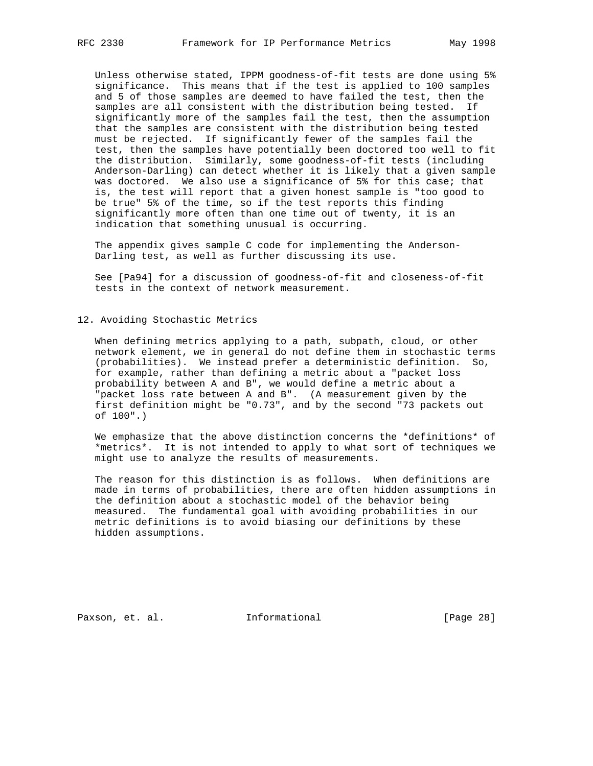Unless otherwise stated, IPPM goodness-of-fit tests are done using 5% significance. This means that if the test is applied to 100 samples and 5 of those samples are deemed to have failed the test, then the samples are all consistent with the distribution being tested. If significantly more of the samples fail the test, then the assumption that the samples are consistent with the distribution being tested must be rejected. If significantly fewer of the samples fail the test, then the samples have potentially been doctored too well to fit the distribution. Similarly, some goodness-of-fit tests (including Anderson-Darling) can detect whether it is likely that a given sample was doctored. We also use a significance of 5% for this case; that is, the test will report that a given honest sample is "too good to be true" 5% of the time, so if the test reports this finding significantly more often than one time out of twenty, it is an indication that something unusual is occurring.

 The appendix gives sample C code for implementing the Anderson- Darling test, as well as further discussing its use.

 See [Pa94] for a discussion of goodness-of-fit and closeness-of-fit tests in the context of network measurement.

#### 12. Avoiding Stochastic Metrics

 When defining metrics applying to a path, subpath, cloud, or other network element, we in general do not define them in stochastic terms (probabilities). We instead prefer a deterministic definition. So, for example, rather than defining a metric about a "packet loss probability between A and B", we would define a metric about a "packet loss rate between A and B". (A measurement given by the first definition might be "0.73", and by the second "73 packets out of 100".)

 We emphasize that the above distinction concerns the \*definitions\* of \*metrics\*. It is not intended to apply to what sort of techniques we might use to analyze the results of measurements.

 The reason for this distinction is as follows. When definitions are made in terms of probabilities, there are often hidden assumptions in the definition about a stochastic model of the behavior being measured. The fundamental goal with avoiding probabilities in our metric definitions is to avoid biasing our definitions by these hidden assumptions.

Paxson, et. al. **Informational** [Page 28]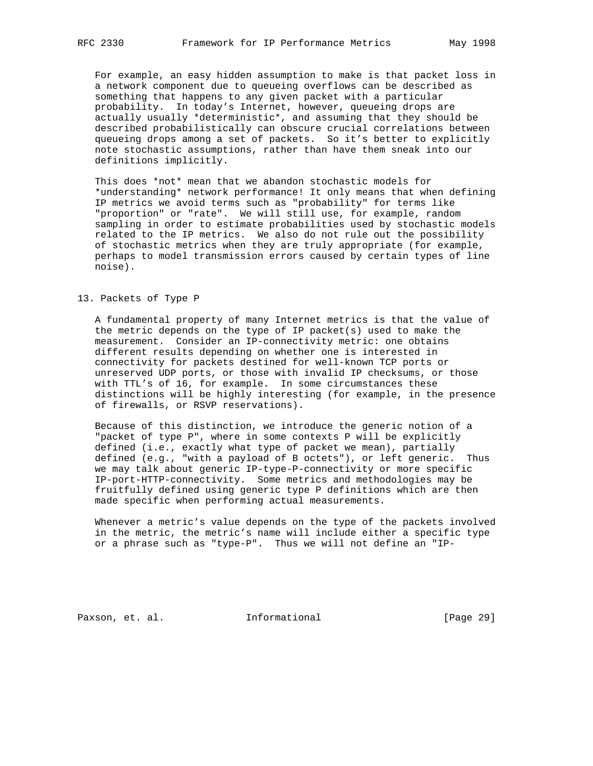For example, an easy hidden assumption to make is that packet loss in a network component due to queueing overflows can be described as something that happens to any given packet with a particular probability. In today's Internet, however, queueing drops are actually usually \*deterministic\*, and assuming that they should be described probabilistically can obscure crucial correlations between queueing drops among a set of packets. So it's better to explicitly note stochastic assumptions, rather than have them sneak into our definitions implicitly.

 This does \*not\* mean that we abandon stochastic models for \*understanding\* network performance! It only means that when defining IP metrics we avoid terms such as "probability" for terms like "proportion" or "rate". We will still use, for example, random sampling in order to estimate probabilities used by stochastic models related to the IP metrics. We also do not rule out the possibility of stochastic metrics when they are truly appropriate (for example, perhaps to model transmission errors caused by certain types of line noise).

#### 13. Packets of Type P

 A fundamental property of many Internet metrics is that the value of the metric depends on the type of IP packet(s) used to make the measurement. Consider an IP-connectivity metric: one obtains different results depending on whether one is interested in connectivity for packets destined for well-known TCP ports or unreserved UDP ports, or those with invalid IP checksums, or those with TTL's of 16, for example. In some circumstances these distinctions will be highly interesting (for example, in the presence of firewalls, or RSVP reservations).

 Because of this distinction, we introduce the generic notion of a "packet of type P", where in some contexts P will be explicitly defined (i.e., exactly what type of packet we mean), partially defined (e.g., "with a payload of B octets"), or left generic. Thus we may talk about generic IP-type-P-connectivity or more specific IP-port-HTTP-connectivity. Some metrics and methodologies may be fruitfully defined using generic type P definitions which are then made specific when performing actual measurements.

 Whenever a metric's value depends on the type of the packets involved in the metric, the metric's name will include either a specific type or a phrase such as "type-P". Thus we will not define an "IP-

Paxson, et. al. **Informational** [Page 29]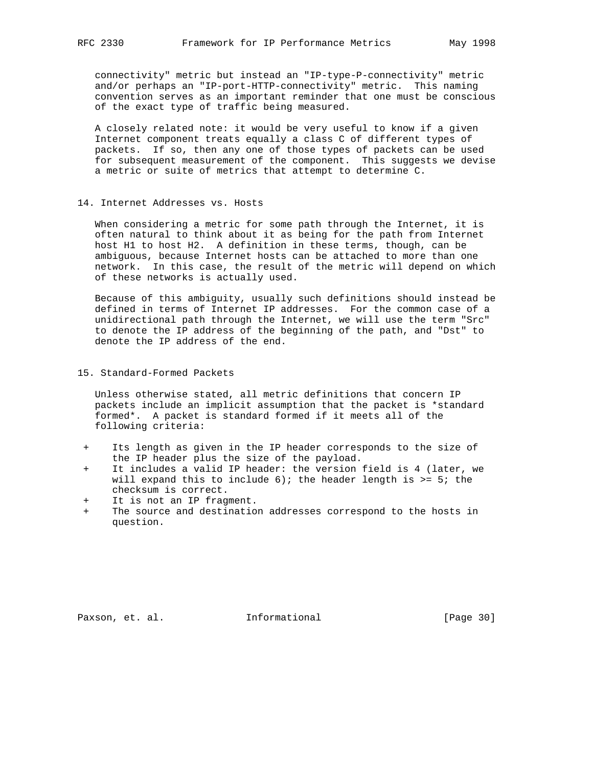connectivity" metric but instead an "IP-type-P-connectivity" metric and/or perhaps an "IP-port-HTTP-connectivity" metric. This naming convention serves as an important reminder that one must be conscious of the exact type of traffic being measured.

 A closely related note: it would be very useful to know if a given Internet component treats equally a class C of different types of packets. If so, then any one of those types of packets can be used for subsequent measurement of the component. This suggests we devise a metric or suite of metrics that attempt to determine C.

#### 14. Internet Addresses vs. Hosts

 When considering a metric for some path through the Internet, it is often natural to think about it as being for the path from Internet host H1 to host H2. A definition in these terms, though, can be ambiguous, because Internet hosts can be attached to more than one network. In this case, the result of the metric will depend on which of these networks is actually used.

 Because of this ambiguity, usually such definitions should instead be defined in terms of Internet IP addresses. For the common case of a unidirectional path through the Internet, we will use the term "Src" to denote the IP address of the beginning of the path, and "Dst" to denote the IP address of the end.

15. Standard-Formed Packets

 Unless otherwise stated, all metric definitions that concern IP packets include an implicit assumption that the packet is \*standard formed\*. A packet is standard formed if it meets all of the following criteria:

- + Its length as given in the IP header corresponds to the size of the IP header plus the size of the payload.
- It includes a valid IP header: the version field is 4 (later, we will expand this to include  $6$ ); the header length is >= 5; the checksum is correct.
- + It is not an IP fragment.
- + The source and destination addresses correspond to the hosts in question.

Paxson, et. al. **Informational** [Page 30]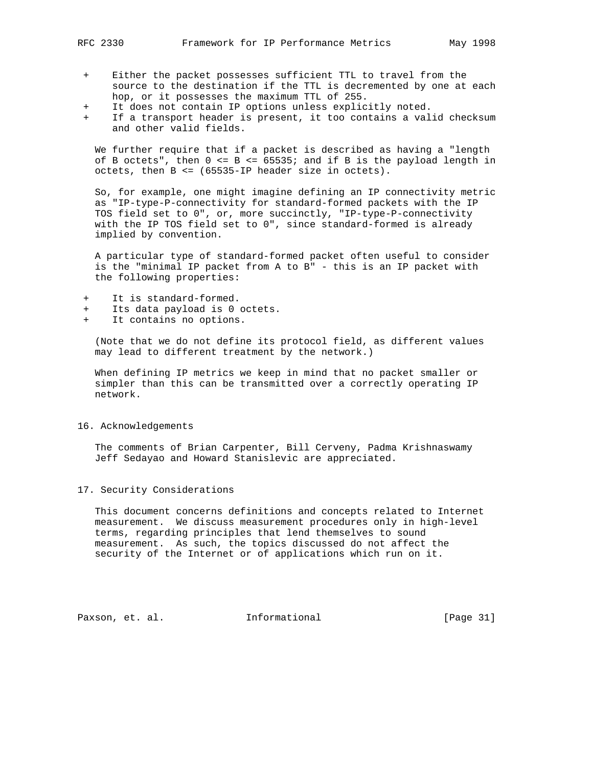- 
- Either the packet possesses sufficient TTL to travel from the source to the destination if the TTL is decremented by one at each hop, or it possesses the maximum TTL of 255.
- + It does not contain IP options unless explicitly noted.
- If a transport header is present, it too contains a valid checksum and other valid fields.

 We further require that if a packet is described as having a "length of B octets", then  $0 \le B \le 65535$ ; and if B is the payload length in octets, then B <= (65535-IP header size in octets).

 So, for example, one might imagine defining an IP connectivity metric as "IP-type-P-connectivity for standard-formed packets with the IP TOS field set to 0", or, more succinctly, "IP-type-P-connectivity with the IP TOS field set to 0", since standard-formed is already implied by convention.

 A particular type of standard-formed packet often useful to consider is the "minimal IP packet from A to B" - this is an IP packet with the following properties:

- It is standard-formed.
- Its data payload is 0 octets.
- It contains no options.

 (Note that we do not define its protocol field, as different values may lead to different treatment by the network.)

 When defining IP metrics we keep in mind that no packet smaller or simpler than this can be transmitted over a correctly operating IP network.

### 16. Acknowledgements

 The comments of Brian Carpenter, Bill Cerveny, Padma Krishnaswamy Jeff Sedayao and Howard Stanislevic are appreciated.

# 17. Security Considerations

 This document concerns definitions and concepts related to Internet measurement. We discuss measurement procedures only in high-level terms, regarding principles that lend themselves to sound measurement. As such, the topics discussed do not affect the security of the Internet or of applications which run on it.

Paxson, et. al. **Informational** [Page 31]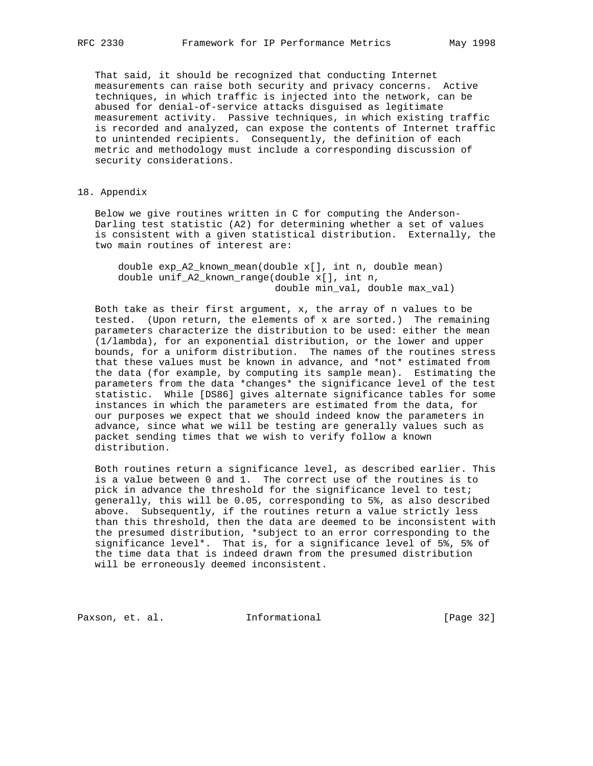That said, it should be recognized that conducting Internet measurements can raise both security and privacy concerns. Active techniques, in which traffic is injected into the network, can be abused for denial-of-service attacks disguised as legitimate measurement activity. Passive techniques, in which existing traffic is recorded and analyzed, can expose the contents of Internet traffic to unintended recipients. Consequently, the definition of each metric and methodology must include a corresponding discussion of security considerations.

# 18. Appendix

 Below we give routines written in C for computing the Anderson- Darling test statistic (A2) for determining whether a set of values is consistent with a given statistical distribution. Externally, the two main routines of interest are:

 double exp\_A2\_known\_mean(double x[], int n, double mean) double unif\_A2\_known\_range(double x[], int n, double min\_val, double max\_val)

 Both take as their first argument, x, the array of n values to be tested. (Upon return, the elements of x are sorted.) The remaining parameters characterize the distribution to be used: either the mean (1/lambda), for an exponential distribution, or the lower and upper bounds, for a uniform distribution. The names of the routines stress that these values must be known in advance, and \*not\* estimated from the data (for example, by computing its sample mean). Estimating the parameters from the data \*changes\* the significance level of the test statistic. While [DS86] gives alternate significance tables for some instances in which the parameters are estimated from the data, for our purposes we expect that we should indeed know the parameters in advance, since what we will be testing are generally values such as packet sending times that we wish to verify follow a known distribution.

 Both routines return a significance level, as described earlier. This is a value between 0 and 1. The correct use of the routines is to pick in advance the threshold for the significance level to test; generally, this will be 0.05, corresponding to 5%, as also described above. Subsequently, if the routines return a value strictly less than this threshold, then the data are deemed to be inconsistent with the presumed distribution, \*subject to an error corresponding to the significance level\*. That is, for a significance level of 5%, 5% of the time data that is indeed drawn from the presumed distribution will be erroneously deemed inconsistent.

Paxson, et. al. **Informational** [Page 32]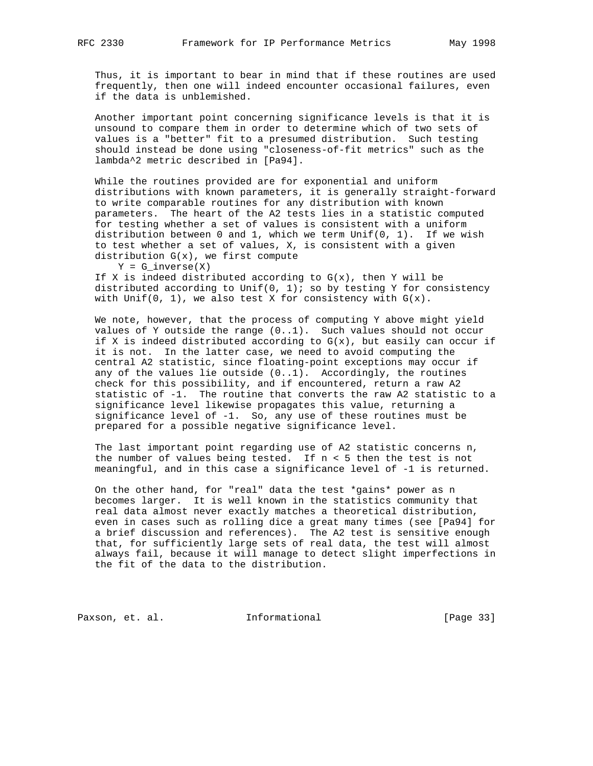Thus, it is important to bear in mind that if these routines are used frequently, then one will indeed encounter occasional failures, even if the data is unblemished.

 Another important point concerning significance levels is that it is unsound to compare them in order to determine which of two sets of values is a "better" fit to a presumed distribution. Such testing should instead be done using "closeness-of-fit metrics" such as the lambda^2 metric described in [Pa94].

 While the routines provided are for exponential and uniform distributions with known parameters, it is generally straight-forward to write comparable routines for any distribution with known parameters. The heart of the A2 tests lies in a statistic computed for testing whether a set of values is consistent with a uniform distribution between 0 and 1, which we term Unif(0, 1). If we wish to test whether a set of values, X, is consistent with a given distribution  $G(x)$ , we first compute

 $Y = G_inverse(X)$ 

If X is indeed distributed according to  $G(x)$ , then Y will be distributed according to Unif(0, 1); so by testing Y for consistency with Unif(0, 1), we also test X for consistency with  $G(x)$ .

 We note, however, that the process of computing Y above might yield values of Y outside the range (0..1). Such values should not occur if X is indeed distributed according to  $G(x)$ , but easily can occur if it is not. In the latter case, we need to avoid computing the central A2 statistic, since floating-point exceptions may occur if any of the values lie outside  $(0..1)$ . Accordingly, the routines check for this possibility, and if encountered, return a raw A2 statistic of -1. The routine that converts the raw A2 statistic to a significance level likewise propagates this value, returning a significance level of  $-1$ . So, any use of these routines must be prepared for a possible negative significance level.

 The last important point regarding use of A2 statistic concerns n, the number of values being tested. If n < 5 then the test is not meaningful, and in this case a significance level of -1 is returned.

 On the other hand, for "real" data the test \*gains\* power as n becomes larger. It is well known in the statistics community that real data almost never exactly matches a theoretical distribution, even in cases such as rolling dice a great many times (see [Pa94] for a brief discussion and references). The A2 test is sensitive enough that, for sufficiently large sets of real data, the test will almost always fail, because it will manage to detect slight imperfections in the fit of the data to the distribution.

Paxson, et. al. 1nformational [Page 33]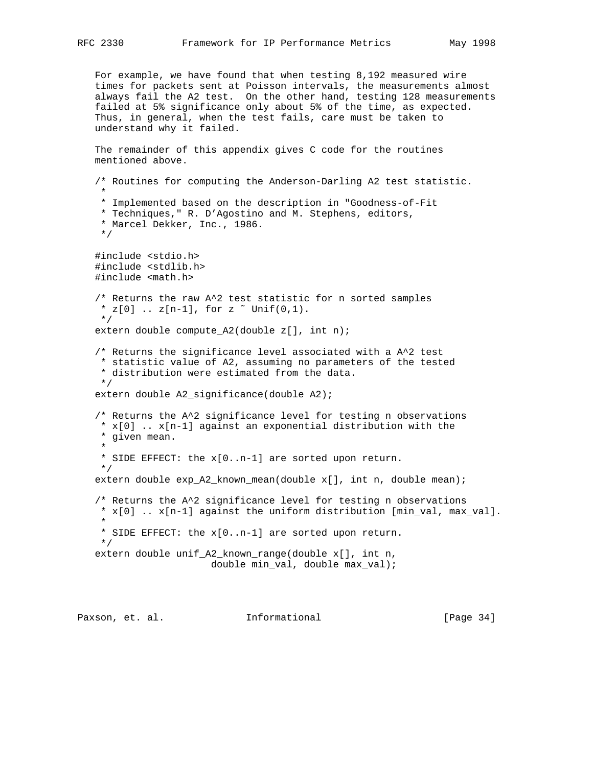For example, we have found that when testing 8,192 measured wire times for packets sent at Poisson intervals, the measurements almost always fail the A2 test. On the other hand, testing 128 measurements failed at 5% significance only about 5% of the time, as expected. Thus, in general, when the test fails, care must be taken to understand why it failed.

```
 The remainder of this appendix gives C code for the routines
 mentioned above.
```

```
 /* Routines for computing the Anderson-Darling A2 test statistic.
 *
    * Implemented based on the description in "Goodness-of-Fit
    * Techniques," R. D'Agostino and M. Stephens, editors,
    * Marcel Dekker, Inc., 1986.
    */
   #include <stdio.h>
   #include <stdlib.h>
   #include <math.h>
   /* Returns the raw A^2 test statistic for n sorted samples
   * z[0] .. z[n-1], for z \tilde{b} Unif(0,1).
    */
   extern double compute_A2(double z[], int n);
   /* Returns the significance level associated with a A^2 test
    * statistic value of A2, assuming no parameters of the tested
    * distribution were estimated from the data.
    */
   extern double A2_significance(double A2);
   /* Returns the A^2 significance level for testing n observations
   * x[0] \ldots x[n-1] against an exponential distribution with the
    * given mean.
 *
    * SIDE EFFECT: the x[0..n-1] are sorted upon return.
    */
   extern double exp_A2_known_mean(double x[], int n, double mean);
   /* Returns the A^2 significance level for testing n observations
    * x[0] .. x[n-1] against the uniform distribution [min_val, max_val].
 *
    * SIDE EFFECT: the x[0..n-1] are sorted upon return.
    */
   extern double unif_A2_known_range(double x[], int n,
                        double min_val, double max_val);
```
Paxson, et. al. **Informational** [Page 34]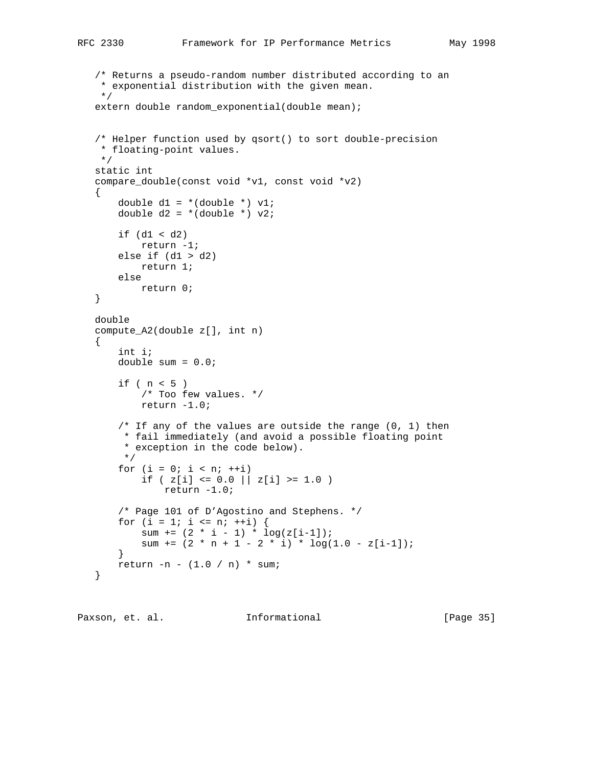```
 /* Returns a pseudo-random number distributed according to an
 * exponential distribution with the given mean.
 */
extern double random exponential(double mean);
 /* Helper function used by qsort() to sort double-precision
 * floating-point values.
 */
 static int
 compare_double(const void *v1, const void *v2)
 {
    double d1 = *(double *) v1;
    double d2 = *(double *) v2;
    if (d1 < d2) return -1;
    else if (d1 > d2) return 1;
     else
        return 0;
 }
 double
 compute_A2(double z[], int n)
\left\{ \right. int i;
     double sum = 0.0;
    if ( n < 5 )
         /* Too few values. */
        return -1.0;
    /* If any of the values are outside the range (0, 1) then
      * fail immediately (and avoid a possible floating point
      * exception in the code below).
      */
    for (i = 0; i < n; ++i)if ( z[i] <= 0.0 || z[i] >= 1.0 )
             return -1.0;
     /* Page 101 of D'Agostino and Stephens. */
    for (i = 1; i \le n; ++i) {
        sum += (2 * i - 1) * log(z[i-1]);sum += (2 * n + 1 - 2 * i) * log(1.0 - z[i-1]); }
     return -n - (1.0 / n) * sum;
 }
```
Paxson, et. al. **Informational** [Page 35]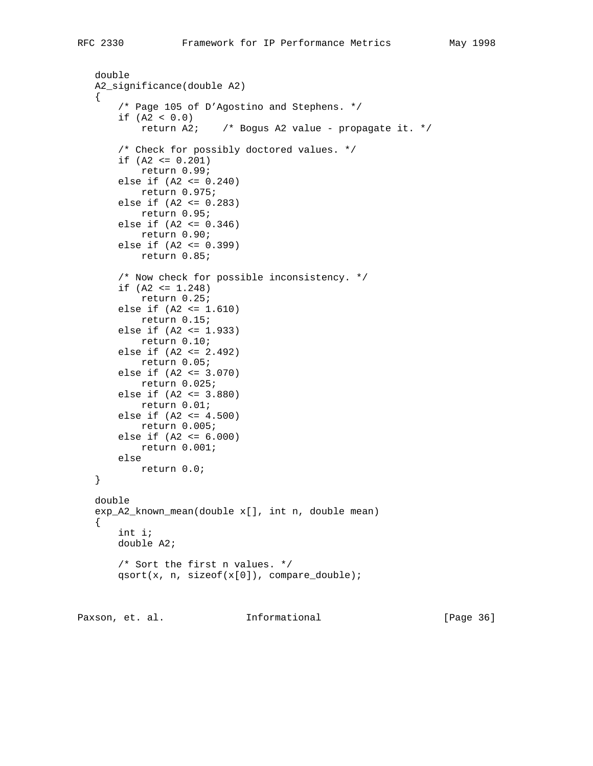```
 double
 A2_significance(double A2)
 {
     /* Page 105 of D'Agostino and Stephens. */
    if (A2 < 0.0) return A2; /* Bogus A2 value - propagate it. */
     /* Check for possibly doctored values. */
    if (A2 \le 0.201) return 0.99;
     else if (A2 <= 0.240)
        return 0.975;
     else if (A2 <= 0.283)
         return 0.95;
     else if (A2 <= 0.346)
         return 0.90;
     else if (A2 <= 0.399)
        return 0.85;
     /* Now check for possible inconsistency. */
    if (A2 \leq 1.248) return 0.25;
     else if (A2 <= 1.610)
         return 0.15;
     else if (A2 <= 1.933)
         return 0.10;
     else if (A2 <= 2.492)
         return 0.05;
     else if (A2 <= 3.070)
         return 0.025;
     else if (A2 <= 3.880)
        return 0.01;
    else if (A2 \leq 4.500) return 0.005;
    else if (A2 \le 6.000) return 0.001;
    else
        return 0.0;
 }
 double
 exp_A2_known_mean(double x[], int n, double mean)
 {
     int i;
     double A2;
     /* Sort the first n values. */
     qsort(x, n, sizeof(x[0]), compare_double);
```
Paxson, et. al. **Informational** [Page 36]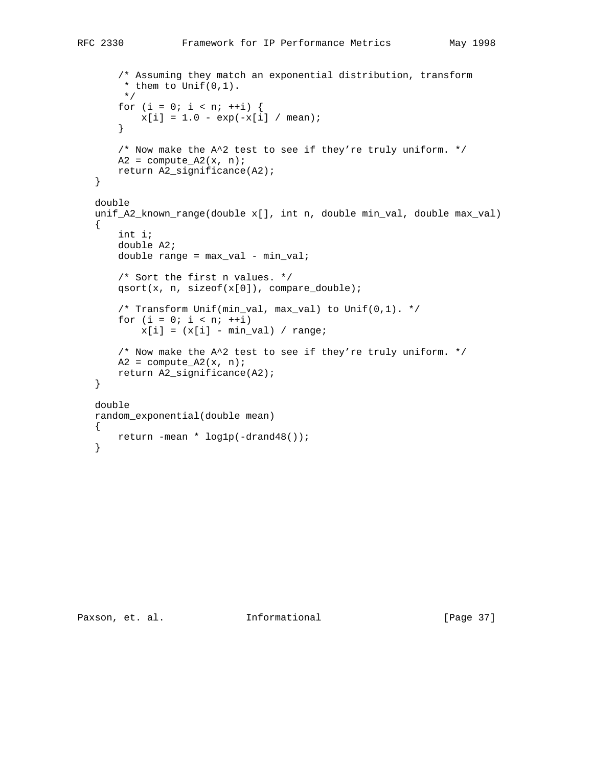```
 /* Assuming they match an exponential distribution, transform
     * them to Unif(0,1).
     */
    for (i = 0; i < n; ++i) {
       x[i] = 1.0 - exp(-x[i] / mean); }
     /* Now make the A^2 test to see if they're truly uniform. */
    A2 = compute A2(x, n); return A2_significance(A2);
 }
 double
 unif_A2_known_range(double x[], int n, double min_val, double max_val)
 {
     int i;
     double A2;
    double range = max_val - min_val; /* Sort the first n values. */
     qsort(x, n, sizeof(x[0]), compare_double);
     /* Transform Unif(min_val, max_val) to Unif(0,1). */
    for (i = 0; i < n; ++i)x[i] = (x[i] - min_val) / range;
     /* Now make the A^2 test to see if they're truly uniform. */
    A2 = compute_A2(x, n); return A2_significance(A2);
 }
 double
 random_exponential(double mean)
 {
    return -mean * log1p(-drand48());
 }
```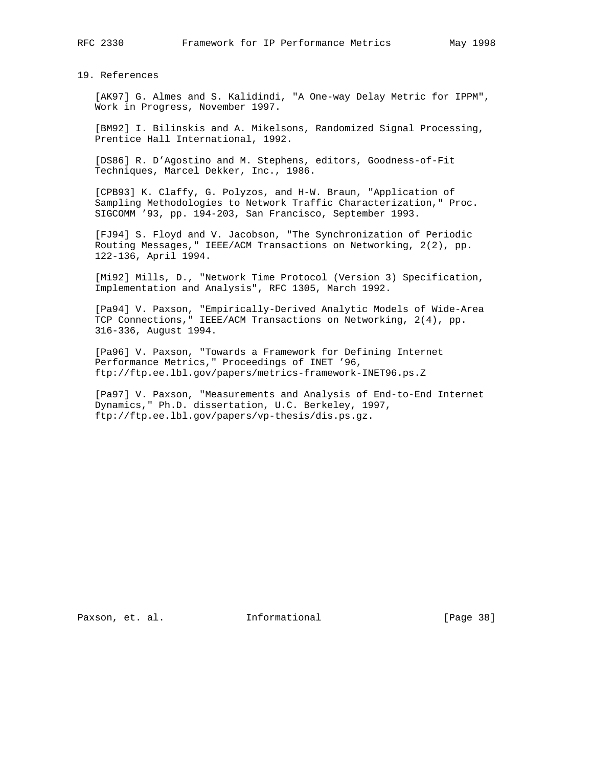19. References

 [AK97] G. Almes and S. Kalidindi, "A One-way Delay Metric for IPPM", Work in Progress, November 1997.

 [BM92] I. Bilinskis and A. Mikelsons, Randomized Signal Processing, Prentice Hall International, 1992.

 [DS86] R. D'Agostino and M. Stephens, editors, Goodness-of-Fit Techniques, Marcel Dekker, Inc., 1986.

 [CPB93] K. Claffy, G. Polyzos, and H-W. Braun, "Application of Sampling Methodologies to Network Traffic Characterization," Proc. SIGCOMM '93, pp. 194-203, San Francisco, September 1993.

 [FJ94] S. Floyd and V. Jacobson, "The Synchronization of Periodic Routing Messages," IEEE/ACM Transactions on Networking, 2(2), pp. 122-136, April 1994.

 [Mi92] Mills, D., "Network Time Protocol (Version 3) Specification, Implementation and Analysis", RFC 1305, March 1992.

 [Pa94] V. Paxson, "Empirically-Derived Analytic Models of Wide-Area TCP Connections," IEEE/ACM Transactions on Networking, 2(4), pp. 316-336, August 1994.

 [Pa96] V. Paxson, "Towards a Framework for Defining Internet Performance Metrics," Proceedings of INET '96, ftp://ftp.ee.lbl.gov/papers/metrics-framework-INET96.ps.Z

 [Pa97] V. Paxson, "Measurements and Analysis of End-to-End Internet Dynamics," Ph.D. dissertation, U.C. Berkeley, 1997, ftp://ftp.ee.lbl.gov/papers/vp-thesis/dis.ps.gz.

Paxson, et. al. 10. Informational 1. [Page 38]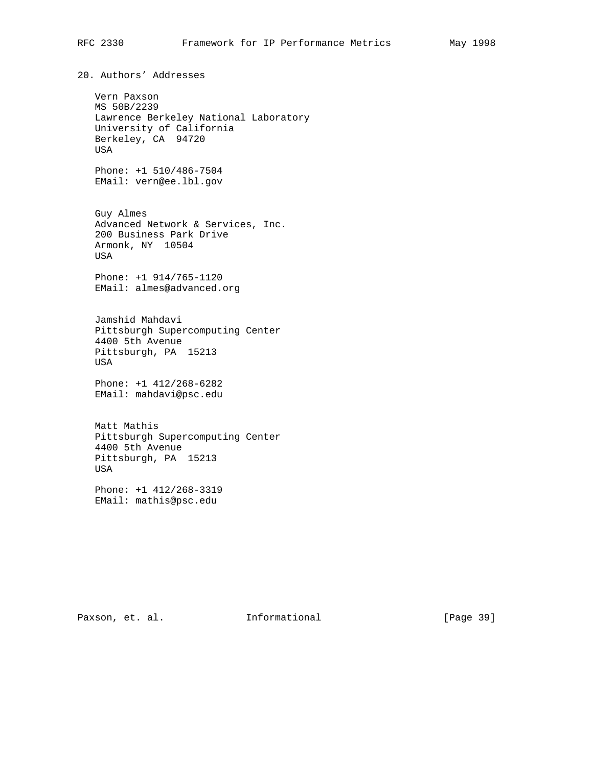20. Authors' Addresses

 Vern Paxson MS 50B/2239 Lawrence Berkeley National Laboratory University of California Berkeley, CA 94720 USA Phone: +1 510/486-7504 EMail: vern@ee.lbl.gov Guy Almes Advanced Network & Services, Inc. 200 Business Park Drive Armonk, NY 10504 USA Phone: +1 914/765-1120 EMail: almes@advanced.org

 Jamshid Mahdavi Pittsburgh Supercomputing Center 4400 5th Avenue Pittsburgh, PA 15213 USA

 Phone: +1 412/268-6282 EMail: mahdavi@psc.edu

 Matt Mathis Pittsburgh Supercomputing Center 4400 5th Avenue Pittsburgh, PA 15213 USA

 Phone: +1 412/268-3319 EMail: mathis@psc.edu

Paxson, et. al. **Informational** [Page 39]